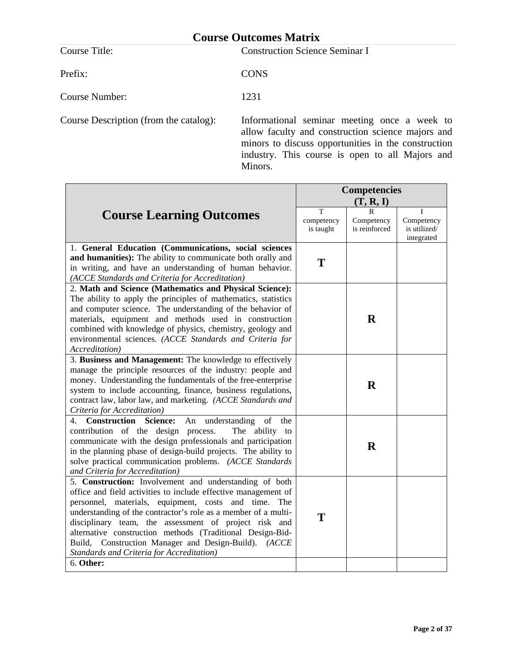| <b>Course Outcomes Matrix</b>          |                                                                                                   |  |  |
|----------------------------------------|---------------------------------------------------------------------------------------------------|--|--|
| Course Title:                          | <b>Construction Science Seminar I</b>                                                             |  |  |
| Prefix:                                | <b>CONS</b>                                                                                       |  |  |
| Course Number:                         | 1231                                                                                              |  |  |
| Course Description (from the catalog): | Informational seminar meeting once a week to<br>allow faculty and construction science majors and |  |  |

allow faculty and construction science majors and minors to discuss opportunities in the construction industry. This course is open to all Majors and Minors.

|                                                                                                                                                                                                                                                                                                                                                                                                                                                                                               | <b>Competencies</b><br>(T, R, I) |                             |                                          |
|-----------------------------------------------------------------------------------------------------------------------------------------------------------------------------------------------------------------------------------------------------------------------------------------------------------------------------------------------------------------------------------------------------------------------------------------------------------------------------------------------|----------------------------------|-----------------------------|------------------------------------------|
| <b>Course Learning Outcomes</b>                                                                                                                                                                                                                                                                                                                                                                                                                                                               | т<br>competency<br>is taught     | Competency<br>is reinforced | Competency<br>is utilized/<br>integrated |
| 1. General Education (Communications, social sciences<br>and humanities): The ability to communicate both orally and<br>in writing, and have an understanding of human behavior.<br>(ACCE Standards and Criteria for Accreditation)                                                                                                                                                                                                                                                           | T                                |                             |                                          |
| 2. Math and Science (Mathematics and Physical Science):<br>The ability to apply the principles of mathematics, statistics<br>and computer science. The understanding of the behavior of<br>materials, equipment and methods used in construction<br>combined with knowledge of physics, chemistry, geology and<br>environmental sciences. (ACCE Standards and Criteria for<br>Accreditation)                                                                                                  |                                  | $\mathbf R$                 |                                          |
| 3. Business and Management: The knowledge to effectively<br>manage the principle resources of the industry: people and<br>money. Understanding the fundamentals of the free-enterprise<br>system to include accounting, finance, business regulations,<br>contract law, labor law, and marketing. (ACCE Standards and<br>Criteria for Accreditation)                                                                                                                                          |                                  | $\bf{R}$                    |                                          |
| <b>Construction Science:</b><br>An understanding<br>of<br>4.<br>the<br>contribution of the design process.<br>The ability to<br>communicate with the design professionals and participation<br>in the planning phase of design-build projects. The ability to<br>solve practical communication problems. (ACCE Standards<br>and Criteria for Accreditation)                                                                                                                                   |                                  | $\bf{R}$                    |                                          |
| 5. Construction: Involvement and understanding of both<br>office and field activities to include effective management of<br>personnel, materials, equipment, costs and time.<br>The<br>understanding of the contractor's role as a member of a multi-<br>disciplinary team, the assessment of project risk and<br>alternative construction methods (Traditional Design-Bid-<br>Build, Construction Manager and Design-Build). (ACCE<br>Standards and Criteria for Accreditation)<br>6. Other: | T                                |                             |                                          |
|                                                                                                                                                                                                                                                                                                                                                                                                                                                                                               |                                  |                             |                                          |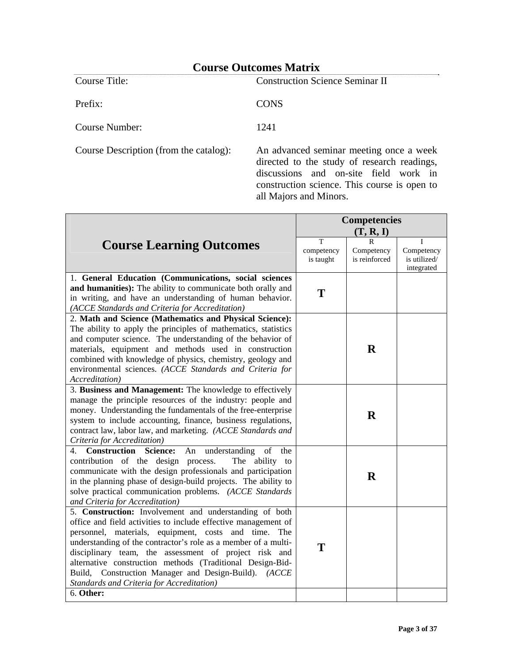Prefix: CONS

Course Title: Construction Science Seminar II

Course Number: 1241

Course Description (from the catalog): An advanced seminar meeting once a week directed to the study of research readings, discussions and on-site field work in construction science. This course is open to all Majors and Minors.

|                                                                                                                                                                                                                                                                                                                                                                                                                     | <b>Competencies</b>          |                                             |                                               |
|---------------------------------------------------------------------------------------------------------------------------------------------------------------------------------------------------------------------------------------------------------------------------------------------------------------------------------------------------------------------------------------------------------------------|------------------------------|---------------------------------------------|-----------------------------------------------|
|                                                                                                                                                                                                                                                                                                                                                                                                                     |                              | (T, R, I)                                   |                                               |
| <b>Course Learning Outcomes</b>                                                                                                                                                                                                                                                                                                                                                                                     | T<br>competency<br>is taught | $\mathsf{R}$<br>Competency<br>is reinforced | T<br>Competency<br>is utilized/<br>integrated |
| 1. General Education (Communications, social sciences                                                                                                                                                                                                                                                                                                                                                               |                              |                                             |                                               |
| and humanities): The ability to communicate both orally and<br>in writing, and have an understanding of human behavior.<br>(ACCE Standards and Criteria for Accreditation)                                                                                                                                                                                                                                          | T                            |                                             |                                               |
| 2. Math and Science (Mathematics and Physical Science):                                                                                                                                                                                                                                                                                                                                                             |                              |                                             |                                               |
| The ability to apply the principles of mathematics, statistics<br>and computer science. The understanding of the behavior of<br>materials, equipment and methods used in construction<br>combined with knowledge of physics, chemistry, geology and<br>environmental sciences. (ACCE Standards and Criteria for<br><i>Accreditation</i> )                                                                           |                              | $\mathbf R$                                 |                                               |
| 3. Business and Management: The knowledge to effectively                                                                                                                                                                                                                                                                                                                                                            |                              |                                             |                                               |
| manage the principle resources of the industry: people and<br>money. Understanding the fundamentals of the free-enterprise<br>system to include accounting, finance, business regulations,<br>contract law, labor law, and marketing. (ACCE Standards and<br>Criteria for Accreditation)                                                                                                                            |                              | $\bf{R}$                                    |                                               |
| 4. Construction Science:<br>understanding<br>An<br>- of<br>the<br>contribution of the design process.<br>The ability to<br>communicate with the design professionals and participation<br>in the planning phase of design-build projects. The ability to<br>solve practical communication problems. (ACCE Standards<br>and Criteria for Accreditation)                                                              |                              | R                                           |                                               |
| 5. Construction: Involvement and understanding of both                                                                                                                                                                                                                                                                                                                                                              |                              |                                             |                                               |
| office and field activities to include effective management of<br>personnel, materials, equipment, costs and time. The<br>understanding of the contractor's role as a member of a multi-<br>disciplinary team, the assessment of project risk and<br>alternative construction methods (Traditional Design-Bid-<br>Build, Construction Manager and Design-Build). (ACCE<br>Standards and Criteria for Accreditation) | T                            |                                             |                                               |
| 6. Other:                                                                                                                                                                                                                                                                                                                                                                                                           |                              |                                             |                                               |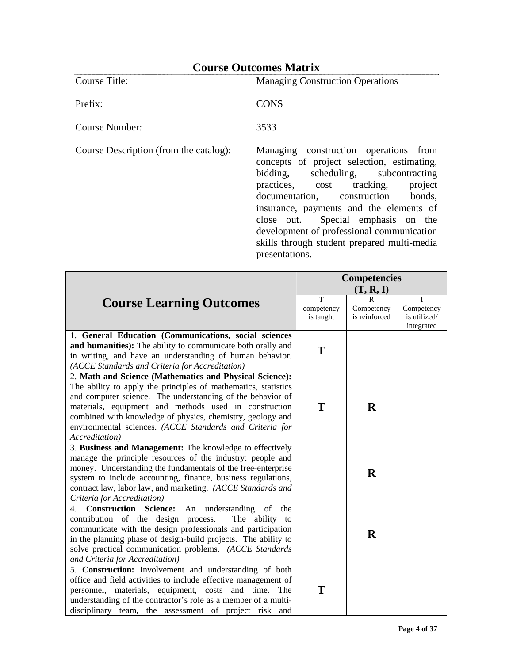Prefix: CONS

Course Title: Managing Construction Operations

Course Number: 3533

Course Description (from the catalog): Managing construction operations from concepts of project selection, estimating, bidding, scheduling, subcontracting practices, cost tracking, project documentation, construction bonds, insurance, payments and the elements of close out. Special emphasis on the development of professional communication skills through student prepared multi-media presentations.

|                                                                                                                                                                                                                                                                                                                                                                                              | <b>Competencies</b>          |                                            | (T, R, I)                                     |  |
|----------------------------------------------------------------------------------------------------------------------------------------------------------------------------------------------------------------------------------------------------------------------------------------------------------------------------------------------------------------------------------------------|------------------------------|--------------------------------------------|-----------------------------------------------|--|
| <b>Course Learning Outcomes</b>                                                                                                                                                                                                                                                                                                                                                              | T<br>competency<br>is taught | $\mathbf R$<br>Competency<br>is reinforced | I<br>Competency<br>is utilized/<br>integrated |  |
| 1. General Education (Communications, social sciences<br>and humanities): The ability to communicate both orally and<br>in writing, and have an understanding of human behavior.<br>(ACCE Standards and Criteria for Accreditation)                                                                                                                                                          | T                            |                                            |                                               |  |
| 2. Math and Science (Mathematics and Physical Science):<br>The ability to apply the principles of mathematics, statistics<br>and computer science. The understanding of the behavior of<br>materials, equipment and methods used in construction<br>combined with knowledge of physics, chemistry, geology and<br>environmental sciences. (ACCE Standards and Criteria for<br>Accreditation) | T                            | $\bf{R}$                                   |                                               |  |
| 3. Business and Management: The knowledge to effectively<br>manage the principle resources of the industry: people and<br>money. Understanding the fundamentals of the free-enterprise<br>system to include accounting, finance, business regulations,<br>contract law, labor law, and marketing. (ACCE Standards and<br>Criteria for Accreditation)                                         |                              | $\bf{R}$                                   |                                               |  |
| 4. Construction Science:<br>understanding<br>An<br>of<br>the<br>contribution of the design process.<br>The ability to<br>communicate with the design professionals and participation<br>in the planning phase of design-build projects. The ability to<br>solve practical communication problems. (ACCE Standards<br>and Criteria for Accreditation)                                         |                              | $\mathbf R$                                |                                               |  |
| 5. Construction: Involvement and understanding of both<br>office and field activities to include effective management of<br>personnel, materials, equipment, costs and time. The<br>understanding of the contractor's role as a member of a multi-<br>disciplinary team, the assessment of project risk and                                                                                  | Т                            |                                            |                                               |  |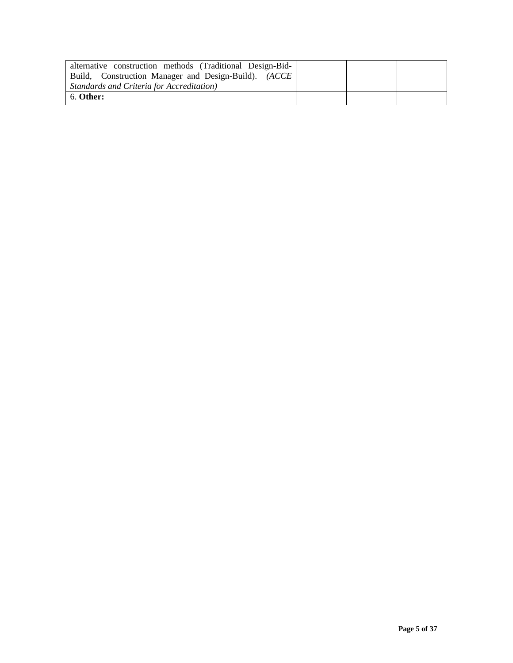| alternative construction methods (Traditional Design-Bid-<br>Build, Construction Manager and Design-Build). (ACCE<br>Standards and Criteria for Accreditation) |  |  |
|----------------------------------------------------------------------------------------------------------------------------------------------------------------|--|--|
| 6. Other:                                                                                                                                                      |  |  |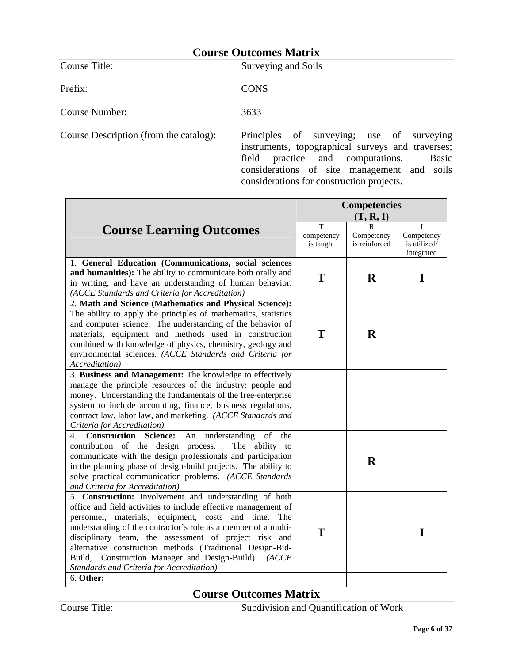Course Title: Surveying and Soils

Prefix: CONS

Course Number: 3633

Course Description (from the catalog): Principles of surveying; use of surveying instruments, topographical surveys and traverses; field practice and computations. Basic considerations of site management and soils considerations for construction projects.

|                                                                                                                                                                                                                                                                                                                                                                                                                                                                               | <b>Competencies</b>          |                                  |                                               |
|-------------------------------------------------------------------------------------------------------------------------------------------------------------------------------------------------------------------------------------------------------------------------------------------------------------------------------------------------------------------------------------------------------------------------------------------------------------------------------|------------------------------|----------------------------------|-----------------------------------------------|
|                                                                                                                                                                                                                                                                                                                                                                                                                                                                               |                              | (T, R, I)                        |                                               |
| <b>Course Learning Outcomes</b>                                                                                                                                                                                                                                                                                                                                                                                                                                               | T<br>competency<br>is taught | R<br>Competency<br>is reinforced | L<br>Competency<br>is utilized/<br>integrated |
| 1. General Education (Communications, social sciences<br>and humanities): The ability to communicate both orally and<br>in writing, and have an understanding of human behavior.<br>(ACCE Standards and Criteria for Accreditation)                                                                                                                                                                                                                                           | T                            | $\bf{R}$                         | I                                             |
| 2. Math and Science (Mathematics and Physical Science):<br>The ability to apply the principles of mathematics, statistics<br>and computer science. The understanding of the behavior of<br>materials, equipment and methods used in construction<br>combined with knowledge of physics, chemistry, geology and<br>environmental sciences. (ACCE Standards and Criteria for<br>Accreditation)                                                                                  | T                            | $\mathbf R$                      |                                               |
| 3. Business and Management: The knowledge to effectively<br>manage the principle resources of the industry: people and<br>money. Understanding the fundamentals of the free-enterprise<br>system to include accounting, finance, business regulations,<br>contract law, labor law, and marketing. (ACCE Standards and<br>Criteria for Accreditation)                                                                                                                          |                              |                                  |                                               |
| understanding<br><b>Construction Science:</b><br>of<br>4.<br>An<br>the<br>contribution of the design process.<br>The ability to<br>communicate with the design professionals and participation<br>in the planning phase of design-build projects. The ability to<br>solve practical communication problems. (ACCE Standards<br>and Criteria for Accreditation)                                                                                                                |                              | $\mathbf R$                      |                                               |
| 5. Construction: Involvement and understanding of both<br>office and field activities to include effective management of<br>personnel, materials, equipment, costs and time. The<br>understanding of the contractor's role as a member of a multi-<br>disciplinary team, the assessment of project risk and<br>alternative construction methods (Traditional Design-Bid-<br>Build, Construction Manager and Design-Build). (ACCE<br>Standards and Criteria for Accreditation) | T                            |                                  | I                                             |
| 6. Other:                                                                                                                                                                                                                                                                                                                                                                                                                                                                     |                              |                                  |                                               |

**Course Outcomes Matrix** 

Course Title: Subdivision and Quantification of Work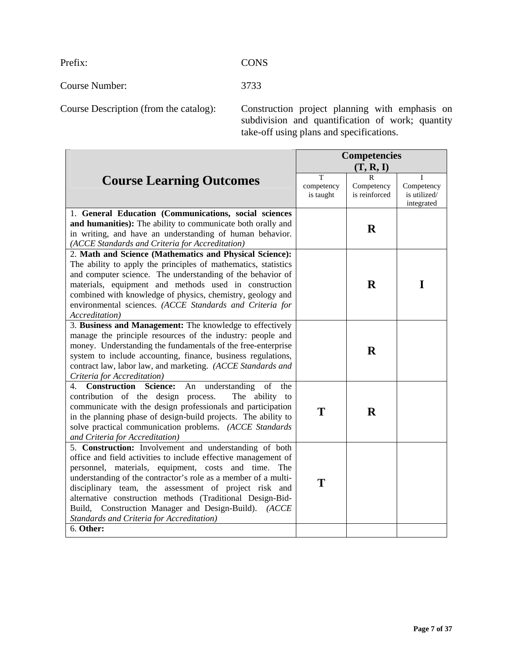Prefix: CONS

Course Number: 3733

Course Description (from the catalog): Construction project planning with emphasis on subdivision and quantification of work; quantity take-off using plans and specifications.

|                                                                                                                                                                                                                                                                                                                                                                                                                                                                                            | <b>Competencies</b><br>(T, R, I) |                             |                                               |
|--------------------------------------------------------------------------------------------------------------------------------------------------------------------------------------------------------------------------------------------------------------------------------------------------------------------------------------------------------------------------------------------------------------------------------------------------------------------------------------------|----------------------------------|-----------------------------|-----------------------------------------------|
| <b>Course Learning Outcomes</b>                                                                                                                                                                                                                                                                                                                                                                                                                                                            | T<br>competency<br>is taught     | Competency<br>is reinforced | н<br>Competency<br>is utilized/<br>integrated |
| 1. General Education (Communications, social sciences<br>and humanities): The ability to communicate both orally and<br>in writing, and have an understanding of human behavior.<br>(ACCE Standards and Criteria for Accreditation)                                                                                                                                                                                                                                                        |                                  | $\bf R$                     |                                               |
| 2. Math and Science (Mathematics and Physical Science):<br>The ability to apply the principles of mathematics, statistics<br>and computer science. The understanding of the behavior of<br>materials, equipment and methods used in construction<br>combined with knowledge of physics, chemistry, geology and<br>environmental sciences. (ACCE Standards and Criteria for<br>Accreditation)                                                                                               |                                  | $\bf R$                     | I                                             |
| 3. Business and Management: The knowledge to effectively<br>manage the principle resources of the industry: people and<br>money. Understanding the fundamentals of the free-enterprise<br>system to include accounting, finance, business regulations,<br>contract law, labor law, and marketing. (ACCE Standards and<br>Criteria for Accreditation)                                                                                                                                       |                                  | $\bf{R}$                    |                                               |
| 4. Construction Science:<br>understanding of<br>An<br>the<br>The ability to<br>contribution of the design process.<br>communicate with the design professionals and participation<br>in the planning phase of design-build projects. The ability to<br>solve practical communication problems. (ACCE Standards<br>and Criteria for Accreditation)                                                                                                                                          | T                                | $\mathbf R$                 |                                               |
| 5. Construction: Involvement and understanding of both<br>office and field activities to include effective management of<br>personnel, materials, equipment, costs and time. The<br>understanding of the contractor's role as a member of a multi-<br>disciplinary team, the assessment of project risk and<br>alternative construction methods (Traditional Design-Bid-<br>Build, Construction Manager and Design-Build). (ACCE<br>Standards and Criteria for Accreditation)<br>6. Other: | T                                |                             |                                               |
|                                                                                                                                                                                                                                                                                                                                                                                                                                                                                            |                                  |                             |                                               |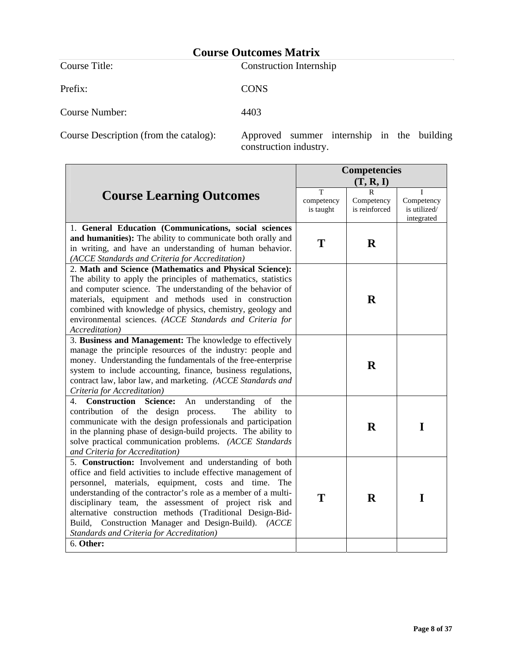Prefix: CONS

Course Title: Construction Internship

Course Number: 4403

Course Description (from the catalog): Approved summer internship in the building construction industry.

|                                                                                                                                                                                                                                                                                                                                                                                                                                                                                     |                              | <b>Competencies</b><br>(T, R, I) |                                          |
|-------------------------------------------------------------------------------------------------------------------------------------------------------------------------------------------------------------------------------------------------------------------------------------------------------------------------------------------------------------------------------------------------------------------------------------------------------------------------------------|------------------------------|----------------------------------|------------------------------------------|
| <b>Course Learning Outcomes</b>                                                                                                                                                                                                                                                                                                                                                                                                                                                     | T<br>competency<br>is taught | Competency<br>is reinforced      | Competency<br>is utilized/<br>integrated |
| 1. General Education (Communications, social sciences<br>and humanities): The ability to communicate both orally and<br>in writing, and have an understanding of human behavior.<br>(ACCE Standards and Criteria for Accreditation)                                                                                                                                                                                                                                                 | T                            | $\bf{R}$                         |                                          |
| 2. Math and Science (Mathematics and Physical Science):<br>The ability to apply the principles of mathematics, statistics<br>and computer science. The understanding of the behavior of<br>materials, equipment and methods used in construction<br>combined with knowledge of physics, chemistry, geology and<br>environmental sciences. (ACCE Standards and Criteria for<br>Accreditation)                                                                                        |                              | $\bf{R}$                         |                                          |
| 3. Business and Management: The knowledge to effectively<br>manage the principle resources of the industry: people and<br>money. Understanding the fundamentals of the free-enterprise<br>system to include accounting, finance, business regulations,<br>contract law, labor law, and marketing. (ACCE Standards and<br>Criteria for Accreditation)                                                                                                                                |                              | $\bf{R}$                         |                                          |
| understanding of<br>4. Construction<br><b>Science:</b><br>An<br>the<br>contribution of the design process.<br>The ability to<br>communicate with the design professionals and participation<br>in the planning phase of design-build projects. The ability to<br>solve practical communication problems. (ACCE Standards<br>and Criteria for Accreditation)                                                                                                                         |                              | $\bf{R}$                         | I                                        |
| 5. Construction: Involvement and understanding of both<br>office and field activities to include effective management of<br>personnel, materials, equipment, costs and time.<br>The<br>understanding of the contractor's role as a member of a multi-<br>disciplinary team, the assessment of project risk and<br>alternative construction methods (Traditional Design-Bid-<br>Construction Manager and Design-Build). (ACCE<br>Build,<br>Standards and Criteria for Accreditation) | T                            | $\mathbf R$                      | I                                        |
| 6. Other:                                                                                                                                                                                                                                                                                                                                                                                                                                                                           |                              |                                  |                                          |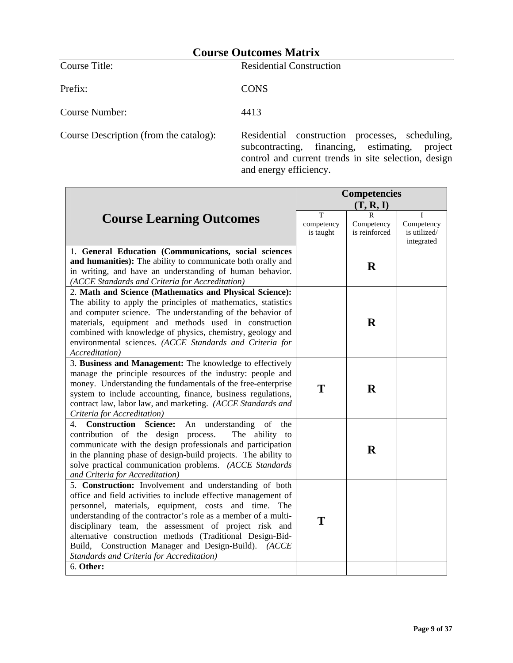Prefix: CONS

**Course Title:** Residential Construction

Course Number: 4413

Course Description (from the catalog): Residential construction processes, scheduling, subcontracting, financing, estimating, project control and current trends in site selection, design and energy efficiency.

|                                                                                                                                                                                                                                                                                                                                                                                                                                                                               | <b>Competencies</b>          |                                  |                                               |
|-------------------------------------------------------------------------------------------------------------------------------------------------------------------------------------------------------------------------------------------------------------------------------------------------------------------------------------------------------------------------------------------------------------------------------------------------------------------------------|------------------------------|----------------------------------|-----------------------------------------------|
|                                                                                                                                                                                                                                                                                                                                                                                                                                                                               |                              | (T, R, I)                        |                                               |
| <b>Course Learning Outcomes</b>                                                                                                                                                                                                                                                                                                                                                                                                                                               | T<br>competency<br>is taught | R<br>Competency<br>is reinforced | T<br>Competency<br>is utilized/<br>integrated |
| 1. General Education (Communications, social sciences<br>and humanities): The ability to communicate both orally and<br>in writing, and have an understanding of human behavior.<br>(ACCE Standards and Criteria for Accreditation)                                                                                                                                                                                                                                           |                              | $\mathbf R$                      |                                               |
| 2. Math and Science (Mathematics and Physical Science):<br>The ability to apply the principles of mathematics, statistics<br>and computer science. The understanding of the behavior of<br>materials, equipment and methods used in construction<br>combined with knowledge of physics, chemistry, geology and<br>environmental sciences. (ACCE Standards and Criteria for<br><i>Accreditation</i> )                                                                          |                              | $\bf{R}$                         |                                               |
| 3. Business and Management: The knowledge to effectively<br>manage the principle resources of the industry: people and<br>money. Understanding the fundamentals of the free-enterprise<br>system to include accounting, finance, business regulations,<br>contract law, labor law, and marketing. (ACCE Standards and<br>Criteria for Accreditation)                                                                                                                          | T                            | $\bf{R}$                         |                                               |
| 4. Construction Science:<br>An understanding<br>of<br>the<br>contribution of the design process.<br>The ability to<br>communicate with the design professionals and participation<br>in the planning phase of design-build projects. The ability to<br>solve practical communication problems. (ACCE Standards<br>and Criteria for Accreditation)                                                                                                                             |                              | $\mathbf R$                      |                                               |
| 5. Construction: Involvement and understanding of both<br>office and field activities to include effective management of<br>personnel, materials, equipment, costs and time. The<br>understanding of the contractor's role as a member of a multi-<br>disciplinary team, the assessment of project risk and<br>alternative construction methods (Traditional Design-Bid-<br>Build, Construction Manager and Design-Build). (ACCE<br>Standards and Criteria for Accreditation) | T                            |                                  |                                               |
| 6. Other:                                                                                                                                                                                                                                                                                                                                                                                                                                                                     |                              |                                  |                                               |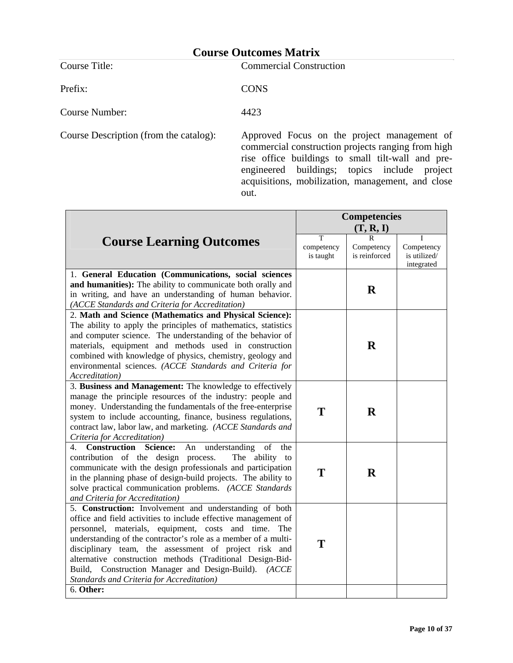Course Title: Commercial Construction

Prefix: CONS

Course Number: 4423

Course Description (from the catalog): Approved Focus on the project management of commercial construction projects ranging from high rise office buildings to small tilt-wall and preengineered buildings; topics include project acquisitions, mobilization, management, and close out.

|                                                                                                                                                                                                                                                                                                                                                                                                                                                                                            | <b>Competencies</b>          |                                  |                                          |
|--------------------------------------------------------------------------------------------------------------------------------------------------------------------------------------------------------------------------------------------------------------------------------------------------------------------------------------------------------------------------------------------------------------------------------------------------------------------------------------------|------------------------------|----------------------------------|------------------------------------------|
|                                                                                                                                                                                                                                                                                                                                                                                                                                                                                            |                              | (T, R, I)                        |                                          |
| <b>Course Learning Outcomes</b>                                                                                                                                                                                                                                                                                                                                                                                                                                                            | T<br>competency<br>is taught | R<br>Competency<br>is reinforced | Competency<br>is utilized/<br>integrated |
| 1. General Education (Communications, social sciences<br>and humanities): The ability to communicate both orally and<br>in writing, and have an understanding of human behavior.<br>(ACCE Standards and Criteria for Accreditation)                                                                                                                                                                                                                                                        |                              | $\mathbf R$                      |                                          |
| 2. Math and Science (Mathematics and Physical Science):<br>The ability to apply the principles of mathematics, statistics<br>and computer science. The understanding of the behavior of<br>materials, equipment and methods used in construction<br>combined with knowledge of physics, chemistry, geology and<br>environmental sciences. (ACCE Standards and Criteria for<br>Accreditation)                                                                                               |                              | $\bf{R}$                         |                                          |
| 3. Business and Management: The knowledge to effectively<br>manage the principle resources of the industry: people and<br>money. Understanding the fundamentals of the free-enterprise<br>system to include accounting, finance, business regulations,<br>contract law, labor law, and marketing. (ACCE Standards and<br>Criteria for Accreditation)                                                                                                                                       | T                            | $\bf R$                          |                                          |
| 4. Construction Science:<br>understanding<br>of<br>An<br>the<br>contribution of the design process.<br>The ability to<br>communicate with the design professionals and participation<br>in the planning phase of design-build projects. The ability to<br>solve practical communication problems. (ACCE Standards<br>and Criteria for Accreditation)                                                                                                                                       | T                            | R                                |                                          |
| 5. Construction: Involvement and understanding of both<br>office and field activities to include effective management of<br>personnel, materials, equipment, costs and time. The<br>understanding of the contractor's role as a member of a multi-<br>disciplinary team, the assessment of project risk and<br>alternative construction methods (Traditional Design-Bid-<br>Build, Construction Manager and Design-Build). (ACCE<br>Standards and Criteria for Accreditation)<br>6. Other: | T                            |                                  |                                          |
|                                                                                                                                                                                                                                                                                                                                                                                                                                                                                            |                              |                                  |                                          |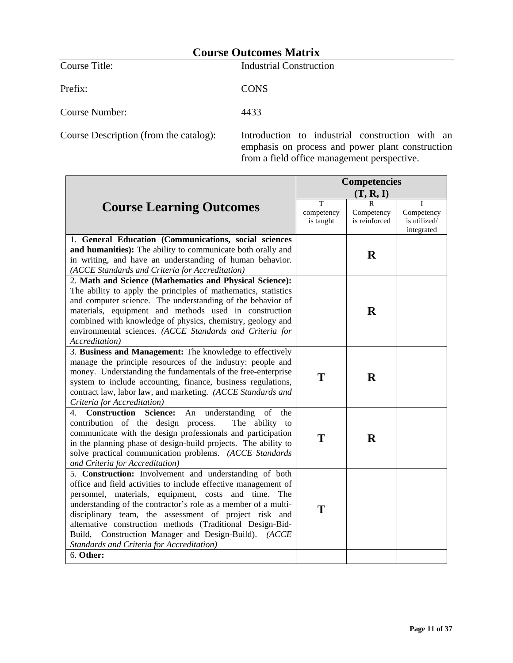Prefix: CONS

**Course Title:** Industrial Construction

Course Number: 4433

Course Description (from the catalog): Introduction to industrial construction with an emphasis on process and power plant construction from a field office management perspective.

|                                                                                                                                                                                                                                                                                                                                                                                                                                                                                            | <b>Competencies</b>          |                                  |                                               |
|--------------------------------------------------------------------------------------------------------------------------------------------------------------------------------------------------------------------------------------------------------------------------------------------------------------------------------------------------------------------------------------------------------------------------------------------------------------------------------------------|------------------------------|----------------------------------|-----------------------------------------------|
|                                                                                                                                                                                                                                                                                                                                                                                                                                                                                            |                              | (T, R, I)                        |                                               |
| <b>Course Learning Outcomes</b>                                                                                                                                                                                                                                                                                                                                                                                                                                                            | T<br>competency<br>is taught | R<br>Competency<br>is reinforced | T<br>Competency<br>is utilized/<br>integrated |
| 1. General Education (Communications, social sciences<br>and humanities): The ability to communicate both orally and<br>in writing, and have an understanding of human behavior.<br>(ACCE Standards and Criteria for Accreditation)                                                                                                                                                                                                                                                        |                              | $\bf{R}$                         |                                               |
| 2. Math and Science (Mathematics and Physical Science):<br>The ability to apply the principles of mathematics, statistics<br>and computer science. The understanding of the behavior of<br>materials, equipment and methods used in construction<br>combined with knowledge of physics, chemistry, geology and<br>environmental sciences. (ACCE Standards and Criteria for<br>Accreditation)                                                                                               |                              | $\mathbf R$                      |                                               |
| 3. Business and Management: The knowledge to effectively<br>manage the principle resources of the industry: people and<br>money. Understanding the fundamentals of the free-enterprise<br>system to include accounting, finance, business regulations,<br>contract law, labor law, and marketing. (ACCE Standards and<br>Criteria for Accreditation)                                                                                                                                       | T                            | $\mathbf R$                      |                                               |
| <b>Construction Science:</b><br>understanding<br>of<br>4.<br>An<br>the<br>contribution of the design process.<br>The ability to<br>communicate with the design professionals and participation<br>in the planning phase of design-build projects. The ability to<br>solve practical communication problems. (ACCE Standards<br>and Criteria for Accreditation)                                                                                                                             | T                            | $\bf{R}$                         |                                               |
| 5. Construction: Involvement and understanding of both<br>office and field activities to include effective management of<br>personnel, materials, equipment, costs and time. The<br>understanding of the contractor's role as a member of a multi-<br>disciplinary team, the assessment of project risk and<br>alternative construction methods (Traditional Design-Bid-<br>Build, Construction Manager and Design-Build). (ACCE<br>Standards and Criteria for Accreditation)<br>6. Other: | T                            |                                  |                                               |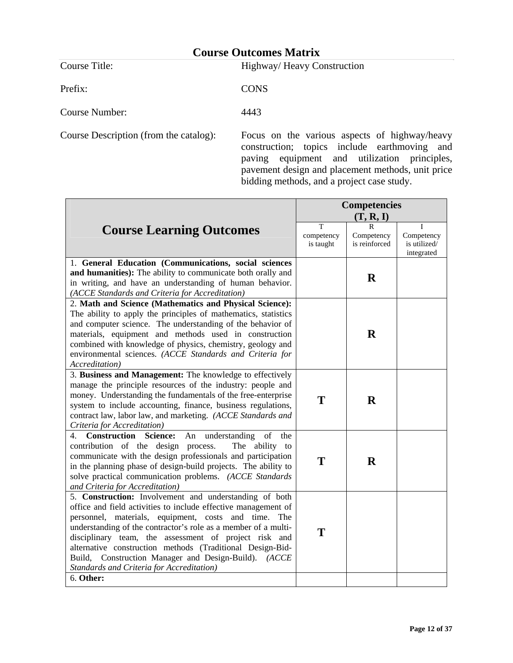Course Title: Highway/ Heavy Construction

Prefix: CONS

Course Number: 4443

Course Description (from the catalog): Focus on the various aspects of highway/heavy construction; topics include earthmoving and paving equipment and utilization principles, pavement design and placement methods, unit price bidding methods, and a project case study.

|                                                                                                                                                                                                                                                                                                                                                                                                                                  | <b>Competencies</b>          |                                  |                                               |
|----------------------------------------------------------------------------------------------------------------------------------------------------------------------------------------------------------------------------------------------------------------------------------------------------------------------------------------------------------------------------------------------------------------------------------|------------------------------|----------------------------------|-----------------------------------------------|
|                                                                                                                                                                                                                                                                                                                                                                                                                                  |                              | (T, R, I)                        |                                               |
| <b>Course Learning Outcomes</b>                                                                                                                                                                                                                                                                                                                                                                                                  | T<br>competency<br>is taught | R<br>Competency<br>is reinforced | T<br>Competency<br>is utilized/<br>integrated |
| 1. General Education (Communications, social sciences                                                                                                                                                                                                                                                                                                                                                                            |                              |                                  |                                               |
| and humanities): The ability to communicate both orally and<br>in writing, and have an understanding of human behavior.<br>(ACCE Standards and Criteria for Accreditation)                                                                                                                                                                                                                                                       |                              | $\mathbf R$                      |                                               |
| 2. Math and Science (Mathematics and Physical Science):                                                                                                                                                                                                                                                                                                                                                                          |                              |                                  |                                               |
| The ability to apply the principles of mathematics, statistics<br>and computer science. The understanding of the behavior of<br>materials, equipment and methods used in construction<br>combined with knowledge of physics, chemistry, geology and<br>environmental sciences. (ACCE Standards and Criteria for<br>Accreditation)                                                                                                |                              | $\mathbf R$                      |                                               |
| 3. Business and Management: The knowledge to effectively                                                                                                                                                                                                                                                                                                                                                                         |                              |                                  |                                               |
| manage the principle resources of the industry: people and<br>money. Understanding the fundamentals of the free-enterprise<br>system to include accounting, finance, business regulations,<br>contract law, labor law, and marketing. (ACCE Standards and<br>Criteria for Accreditation)                                                                                                                                         | T                            | $\bf{R}$                         |                                               |
| <b>Construction Science:</b><br>understanding<br>of<br>An<br>the<br>4.                                                                                                                                                                                                                                                                                                                                                           |                              |                                  |                                               |
| contribution of the design process.<br>The ability to<br>communicate with the design professionals and participation<br>in the planning phase of design-build projects. The ability to<br>solve practical communication problems. (ACCE Standards<br>and Criteria for Accreditation)                                                                                                                                             | T                            | $\bf{R}$                         |                                               |
| 5. Construction: Involvement and understanding of both                                                                                                                                                                                                                                                                                                                                                                           |                              |                                  |                                               |
| office and field activities to include effective management of<br>personnel, materials, equipment, costs and time. The<br>understanding of the contractor's role as a member of a multi-<br>disciplinary team, the assessment of project risk and<br>alternative construction methods (Traditional Design-Bid-<br>Build, Construction Manager and Design-Build). (ACCE<br>Standards and Criteria for Accreditation)<br>6. Other: | T                            |                                  |                                               |
|                                                                                                                                                                                                                                                                                                                                                                                                                                  |                              |                                  |                                               |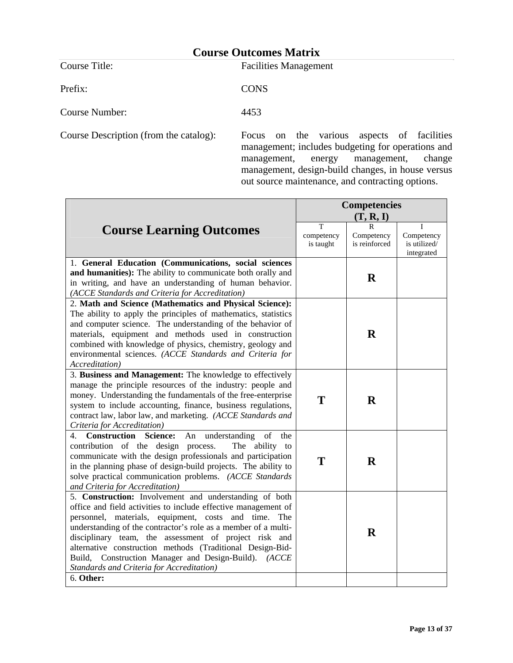Course Title: Facilities Management

Prefix: CONS

Course Number: 4453

Course Description (from the catalog): Focus on the various aspects of facilities management; includes budgeting for operations and<br>management, energy management, change  $m$ management, change management, design-build changes, in house versus out source maintenance, and contracting options.

|                                                                                                                                                                                                                                                                                                                                                                                                                                     | <b>Competencies</b>          |                                  |                                               |
|-------------------------------------------------------------------------------------------------------------------------------------------------------------------------------------------------------------------------------------------------------------------------------------------------------------------------------------------------------------------------------------------------------------------------------------|------------------------------|----------------------------------|-----------------------------------------------|
|                                                                                                                                                                                                                                                                                                                                                                                                                                     | (T, R, I)                    |                                  |                                               |
| <b>Course Learning Outcomes</b>                                                                                                                                                                                                                                                                                                                                                                                                     | T<br>competency<br>is taught | R<br>Competency<br>is reinforced | T<br>Competency<br>is utilized/<br>integrated |
| 1. General Education (Communications, social sciences                                                                                                                                                                                                                                                                                                                                                                               |                              |                                  |                                               |
| and humanities): The ability to communicate both orally and<br>in writing, and have an understanding of human behavior.<br>(ACCE Standards and Criteria for Accreditation)                                                                                                                                                                                                                                                          |                              | $\mathbf R$                      |                                               |
| 2. Math and Science (Mathematics and Physical Science):                                                                                                                                                                                                                                                                                                                                                                             |                              |                                  |                                               |
| The ability to apply the principles of mathematics, statistics<br>and computer science. The understanding of the behavior of<br>materials, equipment and methods used in construction<br>combined with knowledge of physics, chemistry, geology and<br>environmental sciences. (ACCE Standards and Criteria for<br>Accreditation)                                                                                                   |                              | $\bf{R}$                         |                                               |
| 3. Business and Management: The knowledge to effectively                                                                                                                                                                                                                                                                                                                                                                            |                              |                                  |                                               |
| manage the principle resources of the industry: people and<br>money. Understanding the fundamentals of the free-enterprise<br>system to include accounting, finance, business regulations,<br>contract law, labor law, and marketing. (ACCE Standards and<br>Criteria for Accreditation)                                                                                                                                            | T                            | $\bf R$                          |                                               |
| understanding<br>4.<br><b>Construction Science:</b><br>An<br>of<br>the                                                                                                                                                                                                                                                                                                                                                              |                              |                                  |                                               |
| contribution of the design process.<br>The ability to<br>communicate with the design professionals and participation<br>in the planning phase of design-build projects. The ability to<br>solve practical communication problems. (ACCE Standards<br>and Criteria for Accreditation)                                                                                                                                                | T                            | $\mathbf R$                      |                                               |
| 5. Construction: Involvement and understanding of both                                                                                                                                                                                                                                                                                                                                                                              |                              |                                  |                                               |
| office and field activities to include effective management of<br>personnel, materials, equipment, costs and time.<br>The<br>understanding of the contractor's role as a member of a multi-<br>disciplinary team, the assessment of project risk and<br>alternative construction methods (Traditional Design-Bid-<br>Build, Construction Manager and Design-Build). (ACCE<br>Standards and Criteria for Accreditation)<br>6. Other: |                              | $\mathbf R$                      |                                               |
|                                                                                                                                                                                                                                                                                                                                                                                                                                     |                              |                                  |                                               |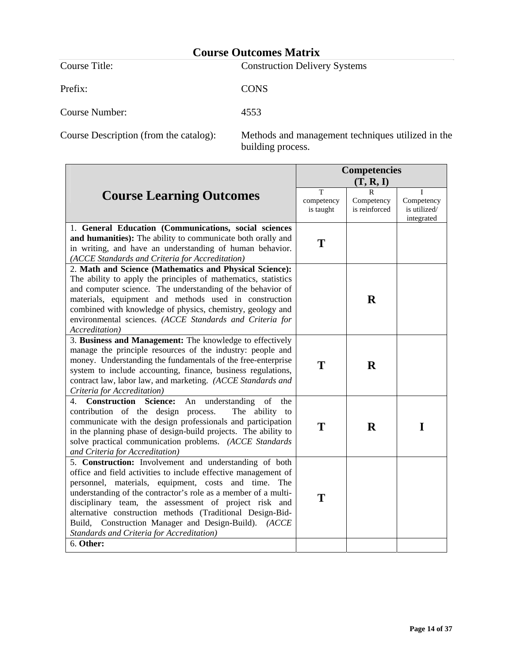| Course Title:  | <b>Construction Delivery Systems</b> |
|----------------|--------------------------------------|
| Prefix:        | <b>CONS</b>                          |
| Course Number: | 4553                                 |

Course Description (from the catalog): Methods and management techniques utilized in the building process.

|                                                                                                                                                                                                                                                                                                                                                                                                                                  | <b>Competencies</b>          |                             |                                          |
|----------------------------------------------------------------------------------------------------------------------------------------------------------------------------------------------------------------------------------------------------------------------------------------------------------------------------------------------------------------------------------------------------------------------------------|------------------------------|-----------------------------|------------------------------------------|
|                                                                                                                                                                                                                                                                                                                                                                                                                                  |                              | (T, R, I)                   |                                          |
| <b>Course Learning Outcomes</b>                                                                                                                                                                                                                                                                                                                                                                                                  | т<br>competency<br>is taught | Competency<br>is reinforced | Competency<br>is utilized/<br>integrated |
| 1. General Education (Communications, social sciences                                                                                                                                                                                                                                                                                                                                                                            |                              |                             |                                          |
| and humanities): The ability to communicate both orally and<br>in writing, and have an understanding of human behavior.<br>(ACCE Standards and Criteria for Accreditation)                                                                                                                                                                                                                                                       | T                            |                             |                                          |
| 2. Math and Science (Mathematics and Physical Science):                                                                                                                                                                                                                                                                                                                                                                          |                              |                             |                                          |
| The ability to apply the principles of mathematics, statistics<br>and computer science. The understanding of the behavior of<br>materials, equipment and methods used in construction<br>combined with knowledge of physics, chemistry, geology and<br>environmental sciences. (ACCE Standards and Criteria for<br>Accreditation)                                                                                                |                              | $\mathbf R$                 |                                          |
| 3. Business and Management: The knowledge to effectively                                                                                                                                                                                                                                                                                                                                                                         |                              |                             |                                          |
| manage the principle resources of the industry: people and<br>money. Understanding the fundamentals of the free-enterprise<br>system to include accounting, finance, business regulations,<br>contract law, labor law, and marketing. (ACCE Standards and<br>Criteria for Accreditation)                                                                                                                                         | T                            | $\bf{R}$                    |                                          |
| understanding<br>of<br>4. Construction Science:<br>An<br>the                                                                                                                                                                                                                                                                                                                                                                     |                              |                             |                                          |
| contribution of the design process.<br>The ability to<br>communicate with the design professionals and participation<br>in the planning phase of design-build projects. The ability to<br>solve practical communication problems. (ACCE Standards<br>and Criteria for Accreditation)                                                                                                                                             | T                            | R                           | $\mathbf I$                              |
| 5. Construction: Involvement and understanding of both                                                                                                                                                                                                                                                                                                                                                                           |                              |                             |                                          |
| office and field activities to include effective management of<br>personnel, materials, equipment, costs and time. The<br>understanding of the contractor's role as a member of a multi-<br>disciplinary team, the assessment of project risk and<br>alternative construction methods (Traditional Design-Bid-<br>Build, Construction Manager and Design-Build). (ACCE<br>Standards and Criteria for Accreditation)<br>6. Other: | T                            |                             |                                          |
|                                                                                                                                                                                                                                                                                                                                                                                                                                  |                              |                             |                                          |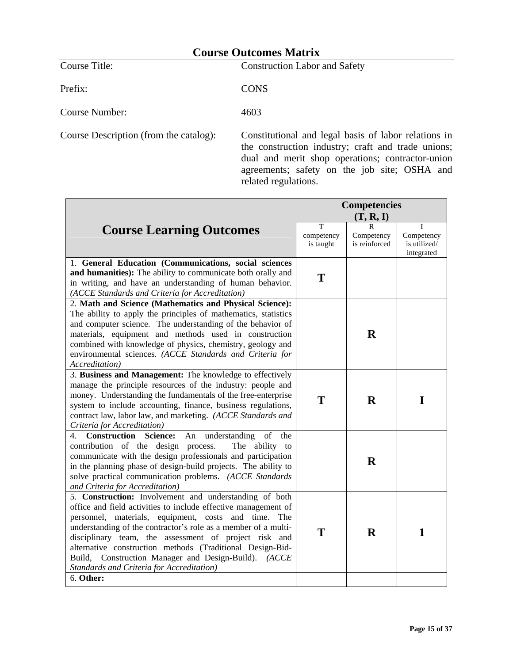Prefix: CONS

Course Title: Construction Labor and Safety

Course Number: 4603

Course Description (from the catalog): Constitutional and legal basis of labor relations in the construction industry; craft and trade unions; dual and merit shop operations; contractor-union agreements; safety on the job site; OSHA and related regulations.

|                                                                                                                                                                                                                                                                                                                                                                                                                                                                                            | <b>Competencies</b>          |                                            |                                               |
|--------------------------------------------------------------------------------------------------------------------------------------------------------------------------------------------------------------------------------------------------------------------------------------------------------------------------------------------------------------------------------------------------------------------------------------------------------------------------------------------|------------------------------|--------------------------------------------|-----------------------------------------------|
|                                                                                                                                                                                                                                                                                                                                                                                                                                                                                            | (T, R, I)                    |                                            |                                               |
| <b>Course Learning Outcomes</b>                                                                                                                                                                                                                                                                                                                                                                                                                                                            | T<br>competency<br>is taught | $\mathbf R$<br>Competency<br>is reinforced | T<br>Competency<br>is utilized/<br>integrated |
| 1. General Education (Communications, social sciences<br>and humanities): The ability to communicate both orally and<br>in writing, and have an understanding of human behavior.<br>(ACCE Standards and Criteria for Accreditation)                                                                                                                                                                                                                                                        | T                            |                                            |                                               |
| 2. Math and Science (Mathematics and Physical Science):<br>The ability to apply the principles of mathematics, statistics<br>and computer science. The understanding of the behavior of<br>materials, equipment and methods used in construction<br>combined with knowledge of physics, chemistry, geology and<br>environmental sciences. (ACCE Standards and Criteria for<br>Accreditation)                                                                                               |                              | $\mathbf R$                                |                                               |
| 3. Business and Management: The knowledge to effectively<br>manage the principle resources of the industry: people and<br>money. Understanding the fundamentals of the free-enterprise<br>system to include accounting, finance, business regulations,<br>contract law, labor law, and marketing. (ACCE Standards and<br>Criteria for Accreditation)                                                                                                                                       | T                            | $\bf R$                                    | I                                             |
| 4. Construction Science:<br>understanding<br>of<br>An<br>the<br>contribution of the design process.<br>The ability to<br>communicate with the design professionals and participation<br>in the planning phase of design-build projects. The ability to<br>solve practical communication problems. (ACCE Standards<br>and Criteria for Accreditation)                                                                                                                                       |                              | $\mathbf R$                                |                                               |
| 5. Construction: Involvement and understanding of both<br>office and field activities to include effective management of<br>personnel, materials, equipment, costs and time. The<br>understanding of the contractor's role as a member of a multi-<br>disciplinary team, the assessment of project risk and<br>alternative construction methods (Traditional Design-Bid-<br>Build, Construction Manager and Design-Build). (ACCE<br>Standards and Criteria for Accreditation)<br>6. Other: | T                            | $\bf{R}$                                   | $\mathbf{1}$                                  |
|                                                                                                                                                                                                                                                                                                                                                                                                                                                                                            |                              |                                            |                                               |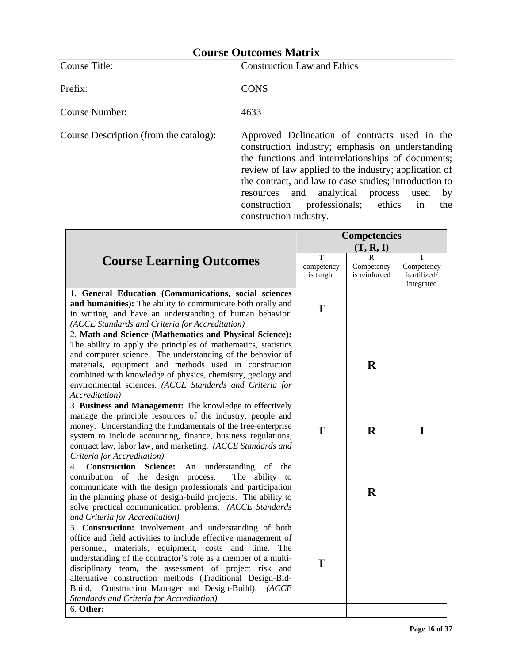Course Title: Construction Law and Ethics

Prefix: CONS

Course Number: 4633

Course Description (from the catalog): Approved Delineation of contracts used in the construction industry; emphasis on understanding the functions and interrelationships of documents; review of law applied to the industry; application of the contract, and law to case studies; introduction to resources and analytical process used by construction professionals; ethics in the construction industry.

|                                                                                                                                                                                                                                                                                                                                                                                                                                                                                               | <b>Competencies</b>          |                                  |                                               |
|-----------------------------------------------------------------------------------------------------------------------------------------------------------------------------------------------------------------------------------------------------------------------------------------------------------------------------------------------------------------------------------------------------------------------------------------------------------------------------------------------|------------------------------|----------------------------------|-----------------------------------------------|
|                                                                                                                                                                                                                                                                                                                                                                                                                                                                                               | (T, R, I)                    |                                  |                                               |
| <b>Course Learning Outcomes</b>                                                                                                                                                                                                                                                                                                                                                                                                                                                               | T<br>competency<br>is taught | R<br>Competency<br>is reinforced | Τ<br>Competency<br>is utilized/<br>integrated |
| 1. General Education (Communications, social sciences<br>and humanities): The ability to communicate both orally and<br>in writing, and have an understanding of human behavior.<br>(ACCE Standards and Criteria for Accreditation)                                                                                                                                                                                                                                                           | T                            |                                  |                                               |
| 2. Math and Science (Mathematics and Physical Science):<br>The ability to apply the principles of mathematics, statistics<br>and computer science. The understanding of the behavior of<br>materials, equipment and methods used in construction<br>combined with knowledge of physics, chemistry, geology and<br>environmental sciences. (ACCE Standards and Criteria for<br>Accreditation)                                                                                                  |                              | $\mathbf R$                      |                                               |
| 3. Business and Management: The knowledge to effectively<br>manage the principle resources of the industry: people and<br>money. Understanding the fundamentals of the free-enterprise<br>system to include accounting, finance, business regulations,<br>contract law, labor law, and marketing. (ACCE Standards and<br>Criteria for Accreditation)                                                                                                                                          | T                            | $\bf R$                          | I                                             |
| 4. Construction<br>understanding<br>of<br><b>Science:</b><br>An<br>the<br>contribution of the design process.<br>The ability to<br>communicate with the design professionals and participation<br>in the planning phase of design-build projects. The ability to<br>solve practical communication problems. (ACCE Standards<br>and Criteria for Accreditation)                                                                                                                                |                              | $\bf{R}$                         |                                               |
| 5. Construction: Involvement and understanding of both<br>office and field activities to include effective management of<br>personnel, materials, equipment, costs and time.<br>The<br>understanding of the contractor's role as a member of a multi-<br>disciplinary team, the assessment of project risk and<br>alternative construction methods (Traditional Design-Bid-<br>Build, Construction Manager and Design-Build). (ACCE<br>Standards and Criteria for Accreditation)<br>6. Other: | T                            |                                  |                                               |
|                                                                                                                                                                                                                                                                                                                                                                                                                                                                                               |                              |                                  |                                               |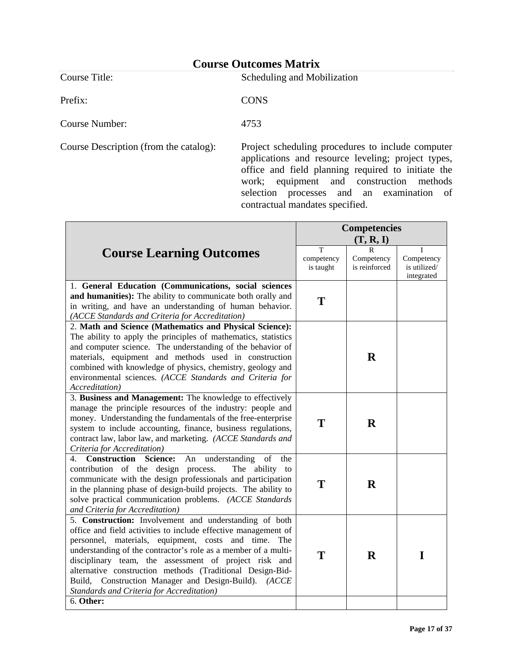Prefix: CONS

Course Title: Scheduling and Mobilization

Course Number: 4753

Course Description (from the catalog): Project scheduling procedures to include computer applications and resource leveling; project types, office and field planning required to initiate the work; equipment and construction methods selection processes and an examination of contractual mandates specified.

|                                                                                                                                                                                                                                                                                                                                                                                                                                                                                  | <b>Competencies</b>                     |                                  |                                               |
|----------------------------------------------------------------------------------------------------------------------------------------------------------------------------------------------------------------------------------------------------------------------------------------------------------------------------------------------------------------------------------------------------------------------------------------------------------------------------------|-----------------------------------------|----------------------------------|-----------------------------------------------|
|                                                                                                                                                                                                                                                                                                                                                                                                                                                                                  | (T, R, I)                               |                                  |                                               |
| <b>Course Learning Outcomes</b>                                                                                                                                                                                                                                                                                                                                                                                                                                                  | $\mathsf{T}$<br>competency<br>is taught | R<br>Competency<br>is reinforced | Т<br>Competency<br>is utilized/<br>integrated |
| 1. General Education (Communications, social sciences<br>and humanities): The ability to communicate both orally and<br>in writing, and have an understanding of human behavior.<br>(ACCE Standards and Criteria for Accreditation)                                                                                                                                                                                                                                              | T                                       |                                  |                                               |
| 2. Math and Science (Mathematics and Physical Science):<br>The ability to apply the principles of mathematics, statistics<br>and computer science. The understanding of the behavior of<br>materials, equipment and methods used in construction<br>combined with knowledge of physics, chemistry, geology and<br>environmental sciences. (ACCE Standards and Criteria for<br>Accreditation)                                                                                     |                                         | $\mathbf R$                      |                                               |
| 3. Business and Management: The knowledge to effectively<br>manage the principle resources of the industry: people and<br>money. Understanding the fundamentals of the free-enterprise<br>system to include accounting, finance, business regulations,<br>contract law, labor law, and marketing. (ACCE Standards and<br>Criteria for Accreditation)                                                                                                                             | T                                       | $\mathbf R$                      |                                               |
| Construction<br>understanding<br><b>Science:</b><br>An<br>of<br>4.<br>the<br>contribution of the design process.<br>The ability to<br>communicate with the design professionals and participation<br>in the planning phase of design-build projects. The ability to<br>solve practical communication problems. (ACCE Standards<br>and Criteria for Accreditation)                                                                                                                | T                                       | $\mathbf R$                      |                                               |
| 5. Construction: Involvement and understanding of both<br>office and field activities to include effective management of<br>personnel, materials, equipment, costs and time.<br>The<br>understanding of the contractor's role as a member of a multi-<br>disciplinary team, the assessment of project risk and<br>alternative construction methods (Traditional Design-Bid-<br>Build, Construction Manager and Design-Build). (ACCE<br>Standards and Criteria for Accreditation) | T                                       | $\bf R$                          | I                                             |
| 6. Other:                                                                                                                                                                                                                                                                                                                                                                                                                                                                        |                                         |                                  |                                               |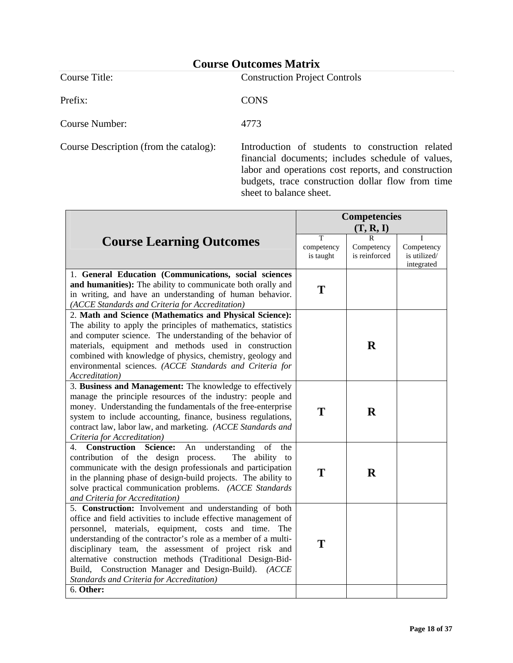|                | Counde Outcomed Binth M              |
|----------------|--------------------------------------|
| Course Title:  | <b>Construction Project Controls</b> |
| Prefix:        | <b>CONS</b>                          |
| Course Number: | 4773                                 |
|                |                                      |

Course Description (from the catalog): Introduction of students to construction related financial documents; includes schedule of values, labor and operations cost reports, and construction budgets, trace construction dollar flow from time sheet to balance sheet.

|                                                                                                                                                                                                                                                                                                                                                                                                                                                                                            | <b>Competencies</b>          |                                  |                                               |
|--------------------------------------------------------------------------------------------------------------------------------------------------------------------------------------------------------------------------------------------------------------------------------------------------------------------------------------------------------------------------------------------------------------------------------------------------------------------------------------------|------------------------------|----------------------------------|-----------------------------------------------|
|                                                                                                                                                                                                                                                                                                                                                                                                                                                                                            | (T, R, I)                    |                                  |                                               |
| <b>Course Learning Outcomes</b>                                                                                                                                                                                                                                                                                                                                                                                                                                                            | T<br>competency<br>is taught | R<br>Competency<br>is reinforced | T<br>Competency<br>is utilized/<br>integrated |
| 1. General Education (Communications, social sciences<br>and humanities): The ability to communicate both orally and<br>in writing, and have an understanding of human behavior.<br>(ACCE Standards and Criteria for Accreditation)                                                                                                                                                                                                                                                        | T                            |                                  |                                               |
| 2. Math and Science (Mathematics and Physical Science):<br>The ability to apply the principles of mathematics, statistics<br>and computer science. The understanding of the behavior of<br>materials, equipment and methods used in construction<br>combined with knowledge of physics, chemistry, geology and<br>environmental sciences. (ACCE Standards and Criteria for<br>Accreditation)                                                                                               |                              | $\mathbf R$                      |                                               |
| 3. Business and Management: The knowledge to effectively<br>manage the principle resources of the industry: people and<br>money. Understanding the fundamentals of the free-enterprise<br>system to include accounting, finance, business regulations,<br>contract law, labor law, and marketing. (ACCE Standards and<br>Criteria for Accreditation)                                                                                                                                       | T                            | $\bf R$                          |                                               |
| Construction<br><b>Science:</b><br>An understanding<br>of<br>4.<br>the<br>contribution of the design process.<br>The ability to<br>communicate with the design professionals and participation<br>in the planning phase of design-build projects. The ability to<br>solve practical communication problems. (ACCE Standards<br>and Criteria for Accreditation)                                                                                                                             | T                            | $\bf R$                          |                                               |
| 5. Construction: Involvement and understanding of both<br>office and field activities to include effective management of<br>personnel, materials, equipment, costs and time. The<br>understanding of the contractor's role as a member of a multi-<br>disciplinary team, the assessment of project risk and<br>alternative construction methods (Traditional Design-Bid-<br>Build, Construction Manager and Design-Build). (ACCE<br>Standards and Criteria for Accreditation)<br>6. Other: | T                            |                                  |                                               |
|                                                                                                                                                                                                                                                                                                                                                                                                                                                                                            |                              |                                  |                                               |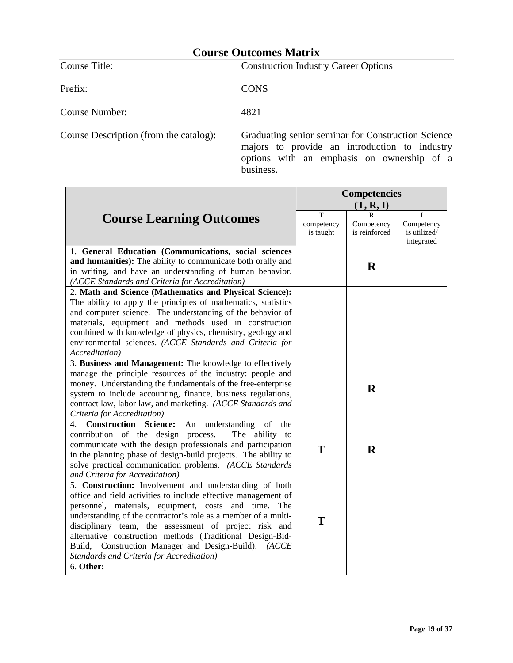Course Title: Construction Industry Career Options Prefix: CONS Course Number: 4821

Course Description (from the catalog): Graduating senior seminar for Construction Science majors to provide an introduction to industry options with an emphasis on ownership of a business.

|                                                                                                                                                                                                                                                                                                                                                                                                                                                                                            | <b>Competencies</b><br>(T, R, I) |                             |                                          |
|--------------------------------------------------------------------------------------------------------------------------------------------------------------------------------------------------------------------------------------------------------------------------------------------------------------------------------------------------------------------------------------------------------------------------------------------------------------------------------------------|----------------------------------|-----------------------------|------------------------------------------|
|                                                                                                                                                                                                                                                                                                                                                                                                                                                                                            | T                                |                             | Τ                                        |
| <b>Course Learning Outcomes</b>                                                                                                                                                                                                                                                                                                                                                                                                                                                            | competency<br>is taught          | Competency<br>is reinforced | Competency<br>is utilized/<br>integrated |
| 1. General Education (Communications, social sciences<br>and humanities): The ability to communicate both orally and<br>in writing, and have an understanding of human behavior.<br>(ACCE Standards and Criteria for Accreditation)                                                                                                                                                                                                                                                        |                                  | $\bf{R}$                    |                                          |
| 2. Math and Science (Mathematics and Physical Science):<br>The ability to apply the principles of mathematics, statistics<br>and computer science. The understanding of the behavior of<br>materials, equipment and methods used in construction<br>combined with knowledge of physics, chemistry, geology and<br>environmental sciences. (ACCE Standards and Criteria for<br>Accreditation)                                                                                               |                                  |                             |                                          |
| 3. Business and Management: The knowledge to effectively<br>manage the principle resources of the industry: people and<br>money. Understanding the fundamentals of the free-enterprise<br>system to include accounting, finance, business regulations,<br>contract law, labor law, and marketing. (ACCE Standards and<br>Criteria for Accreditation)                                                                                                                                       |                                  | $\bf{R}$                    |                                          |
| understanding<br><b>Construction Science:</b><br>of<br>4.<br>An<br>the<br>contribution of the design process.<br>The ability to<br>communicate with the design professionals and participation<br>in the planning phase of design-build projects. The ability to<br>solve practical communication problems. (ACCE Standards<br>and Criteria for Accreditation)                                                                                                                             | T                                | $\mathbf R$                 |                                          |
| 5. Construction: Involvement and understanding of both<br>office and field activities to include effective management of<br>personnel, materials, equipment, costs and time. The<br>understanding of the contractor's role as a member of a multi-<br>disciplinary team, the assessment of project risk and<br>alternative construction methods (Traditional Design-Bid-<br>Build, Construction Manager and Design-Build). (ACCE<br>Standards and Criteria for Accreditation)<br>6. Other: | T                                |                             |                                          |
|                                                                                                                                                                                                                                                                                                                                                                                                                                                                                            |                                  |                             |                                          |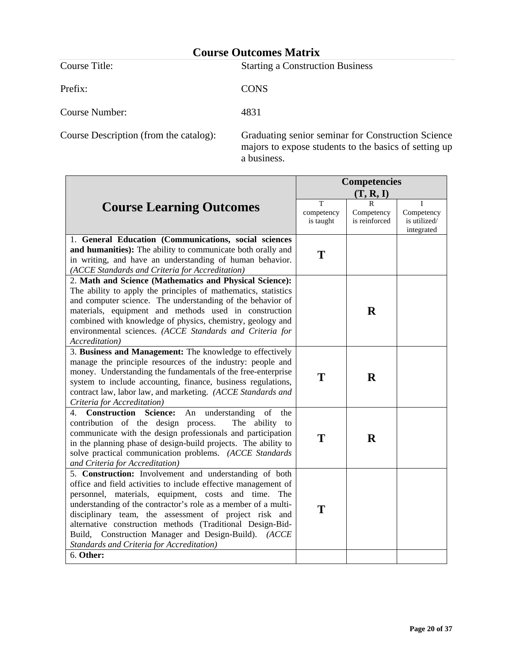| Course Title:  | <b>Starting a Construction Business</b> |
|----------------|-----------------------------------------|
| Prefix:        | <b>CONS</b>                             |
| Course Number: | 4831                                    |

Course Description (from the catalog): Graduating senior seminar for Construction Science majors to expose students to the basics of setting up a business.

|                                                                                                                                                                                                                                                                                                                                                                                                                                                                                            | <b>Competencies</b><br>(T, R, I) |                                  |                                               |
|--------------------------------------------------------------------------------------------------------------------------------------------------------------------------------------------------------------------------------------------------------------------------------------------------------------------------------------------------------------------------------------------------------------------------------------------------------------------------------------------|----------------------------------|----------------------------------|-----------------------------------------------|
| <b>Course Learning Outcomes</b>                                                                                                                                                                                                                                                                                                                                                                                                                                                            | T<br>competency<br>is taught     | R<br>Competency<br>is reinforced | T<br>Competency<br>is utilized/<br>integrated |
| 1. General Education (Communications, social sciences<br>and humanities): The ability to communicate both orally and<br>in writing, and have an understanding of human behavior.<br>(ACCE Standards and Criteria for Accreditation)                                                                                                                                                                                                                                                        | T                                |                                  |                                               |
| 2. Math and Science (Mathematics and Physical Science):<br>The ability to apply the principles of mathematics, statistics<br>and computer science. The understanding of the behavior of<br>materials, equipment and methods used in construction<br>combined with knowledge of physics, chemistry, geology and<br>environmental sciences. (ACCE Standards and Criteria for<br>Accreditation)                                                                                               |                                  | $\bf{R}$                         |                                               |
| 3. Business and Management: The knowledge to effectively<br>manage the principle resources of the industry: people and<br>money. Understanding the fundamentals of the free-enterprise<br>system to include accounting, finance, business regulations,<br>contract law, labor law, and marketing. (ACCE Standards and<br>Criteria for Accreditation)                                                                                                                                       | T                                | $\bf R$                          |                                               |
| 4. Construction Science:<br>understanding<br>of<br>An<br>the<br>contribution of the design process.<br>The ability to<br>communicate with the design professionals and participation<br>in the planning phase of design-build projects. The ability to<br>solve practical communication problems. (ACCE Standards<br>and Criteria for Accreditation)                                                                                                                                       | T                                | $\bf{R}$                         |                                               |
| 5. Construction: Involvement and understanding of both<br>office and field activities to include effective management of<br>personnel, materials, equipment, costs and time. The<br>understanding of the contractor's role as a member of a multi-<br>disciplinary team, the assessment of project risk and<br>alternative construction methods (Traditional Design-Bid-<br>Build, Construction Manager and Design-Build). (ACCE<br>Standards and Criteria for Accreditation)<br>6. Other: | T                                |                                  |                                               |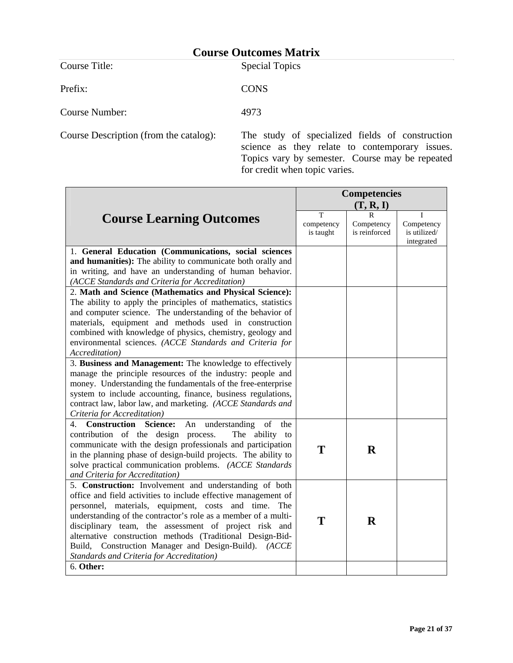**Course Title:** Special Topics

Prefix: CONS

Course Number: 4973

Course Description (from the catalog): The study of specialized fields of construction science as they relate to contemporary issues. Topics vary by semester. Course may be repeated for credit when topic varies.

|                                                                                                                                                                                                                                                                                                                                                                                                                                                                               | <b>Competencies</b>          |                                  |                                          |
|-------------------------------------------------------------------------------------------------------------------------------------------------------------------------------------------------------------------------------------------------------------------------------------------------------------------------------------------------------------------------------------------------------------------------------------------------------------------------------|------------------------------|----------------------------------|------------------------------------------|
|                                                                                                                                                                                                                                                                                                                                                                                                                                                                               | (T, R, I)                    |                                  |                                          |
| <b>Course Learning Outcomes</b>                                                                                                                                                                                                                                                                                                                                                                                                                                               | T<br>competency<br>is taught | R<br>Competency<br>is reinforced | Competency<br>is utilized/<br>integrated |
| 1. General Education (Communications, social sciences<br>and humanities): The ability to communicate both orally and<br>in writing, and have an understanding of human behavior.<br>(ACCE Standards and Criteria for Accreditation)                                                                                                                                                                                                                                           |                              |                                  |                                          |
| 2. Math and Science (Mathematics and Physical Science):<br>The ability to apply the principles of mathematics, statistics<br>and computer science. The understanding of the behavior of<br>materials, equipment and methods used in construction<br>combined with knowledge of physics, chemistry, geology and<br>environmental sciences. (ACCE Standards and Criteria for<br><i>Accreditation</i> )                                                                          |                              |                                  |                                          |
| 3. Business and Management: The knowledge to effectively<br>manage the principle resources of the industry: people and<br>money. Understanding the fundamentals of the free-enterprise<br>system to include accounting, finance, business regulations,<br>contract law, labor law, and marketing. (ACCE Standards and<br>Criteria for Accreditation)                                                                                                                          |                              |                                  |                                          |
| 4. Construction Science:<br>An understanding<br>of<br>the<br>contribution of the design process.<br>The ability to<br>communicate with the design professionals and participation<br>in the planning phase of design-build projects. The ability to<br>solve practical communication problems. (ACCE Standards<br>and Criteria for Accreditation)                                                                                                                             | T                            | $\bf R$                          |                                          |
| 5. Construction: Involvement and understanding of both<br>office and field activities to include effective management of<br>personnel, materials, equipment, costs and time. The<br>understanding of the contractor's role as a member of a multi-<br>disciplinary team, the assessment of project risk and<br>alternative construction methods (Traditional Design-Bid-<br>Build, Construction Manager and Design-Build). (ACCE<br>Standards and Criteria for Accreditation) | T                            | $\bf{R}$                         |                                          |
| 6. Other:                                                                                                                                                                                                                                                                                                                                                                                                                                                                     |                              |                                  |                                          |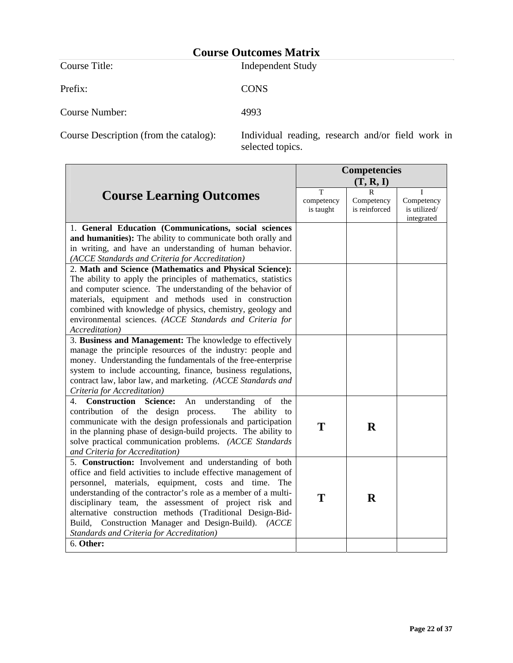Prefix: CONS

Course Title: Independent Study

Course Number: 4993

Course Description (from the catalog): Individual reading, research and/or field work in selected topics.

|                                                                           | <b>Competencies</b>          |                                  |                                          |
|---------------------------------------------------------------------------|------------------------------|----------------------------------|------------------------------------------|
|                                                                           |                              | (T, R, I)                        |                                          |
| <b>Course Learning Outcomes</b>                                           | T<br>competency<br>is taught | R<br>Competency<br>is reinforced | Competency<br>is utilized/<br>integrated |
| 1. General Education (Communications, social sciences                     |                              |                                  |                                          |
| and humanities): The ability to communicate both orally and               |                              |                                  |                                          |
| in writing, and have an understanding of human behavior.                  |                              |                                  |                                          |
| (ACCE Standards and Criteria for Accreditation)                           |                              |                                  |                                          |
| 2. Math and Science (Mathematics and Physical Science):                   |                              |                                  |                                          |
| The ability to apply the principles of mathematics, statistics            |                              |                                  |                                          |
| and computer science. The understanding of the behavior of                |                              |                                  |                                          |
| materials, equipment and methods used in construction                     |                              |                                  |                                          |
| combined with knowledge of physics, chemistry, geology and                |                              |                                  |                                          |
| environmental sciences. (ACCE Standards and Criteria for                  |                              |                                  |                                          |
| Accreditation)                                                            |                              |                                  |                                          |
| 3. Business and Management: The knowledge to effectively                  |                              |                                  |                                          |
| manage the principle resources of the industry: people and                |                              |                                  |                                          |
| money. Understanding the fundamentals of the free-enterprise              |                              |                                  |                                          |
| system to include accounting, finance, business regulations,              |                              |                                  |                                          |
| contract law, labor law, and marketing. (ACCE Standards and               |                              |                                  |                                          |
| Criteria for Accreditation)                                               |                              |                                  |                                          |
| Construction<br>understanding<br>of<br><b>Science:</b><br>An<br>the<br>4. |                              |                                  |                                          |
| contribution of the design process.<br>The ability to                     |                              |                                  |                                          |
| communicate with the design professionals and participation               |                              |                                  |                                          |
| in the planning phase of design-build projects. The ability to            | T                            | R                                |                                          |
| solve practical communication problems. (ACCE Standards                   |                              |                                  |                                          |
| and Criteria for Accreditation)                                           |                              |                                  |                                          |
| 5. Construction: Involvement and understanding of both                    |                              |                                  |                                          |
| office and field activities to include effective management of            |                              |                                  |                                          |
| personnel, materials, equipment, costs and time. The                      |                              |                                  |                                          |
| understanding of the contractor's role as a member of a multi-            |                              | $\mathbf R$                      |                                          |
| disciplinary team, the assessment of project risk and                     | T                            |                                  |                                          |
| alternative construction methods (Traditional Design-Bid-                 |                              |                                  |                                          |
| Build, Construction Manager and Design-Build). (ACCE                      |                              |                                  |                                          |
| Standards and Criteria for Accreditation)                                 |                              |                                  |                                          |
| 6. Other:                                                                 |                              |                                  |                                          |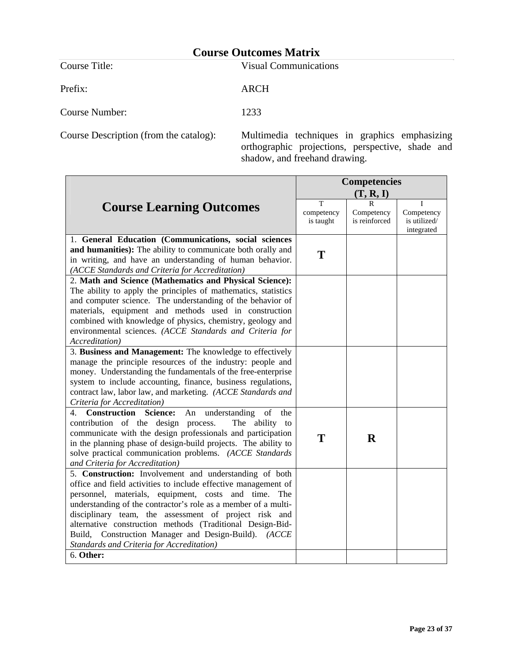Prefix: ARCH

Course Title: Visual Communications

Course Number: 1233

Course Description (from the catalog): Multimedia techniques in graphics emphasizing orthographic projections, perspective, shade and shadow, and freehand drawing.

|                                                                                                                                                                                                                                                                                                                                                                                                                                                                                               | <b>Competencies</b>          |                                  |                                               |
|-----------------------------------------------------------------------------------------------------------------------------------------------------------------------------------------------------------------------------------------------------------------------------------------------------------------------------------------------------------------------------------------------------------------------------------------------------------------------------------------------|------------------------------|----------------------------------|-----------------------------------------------|
|                                                                                                                                                                                                                                                                                                                                                                                                                                                                                               |                              | (T, R, I)                        |                                               |
| <b>Course Learning Outcomes</b>                                                                                                                                                                                                                                                                                                                                                                                                                                                               | T<br>competency<br>is taught | R<br>Competency<br>is reinforced | T<br>Competency<br>is utilized/<br>integrated |
| 1. General Education (Communications, social sciences<br>and humanities): The ability to communicate both orally and<br>in writing, and have an understanding of human behavior.<br>(ACCE Standards and Criteria for Accreditation)                                                                                                                                                                                                                                                           | T                            |                                  |                                               |
| 2. Math and Science (Mathematics and Physical Science):<br>The ability to apply the principles of mathematics, statistics<br>and computer science. The understanding of the behavior of<br>materials, equipment and methods used in construction<br>combined with knowledge of physics, chemistry, geology and<br>environmental sciences. (ACCE Standards and Criteria for<br>Accreditation)                                                                                                  |                              |                                  |                                               |
| 3. Business and Management: The knowledge to effectively<br>manage the principle resources of the industry: people and<br>money. Understanding the fundamentals of the free-enterprise<br>system to include accounting, finance, business regulations,<br>contract law, labor law, and marketing. (ACCE Standards and<br>Criteria for Accreditation)                                                                                                                                          |                              |                                  |                                               |
| understanding<br>of<br>4. Construction Science:<br>An<br>the<br>contribution of the design process.<br>The ability to<br>communicate with the design professionals and participation<br>in the planning phase of design-build projects. The ability to<br>solve practical communication problems. (ACCE Standards<br>and Criteria for Accreditation)                                                                                                                                          | T                            | $\bf{R}$                         |                                               |
| 5. Construction: Involvement and understanding of both<br>office and field activities to include effective management of<br>personnel, materials, equipment, costs and time.<br>The<br>understanding of the contractor's role as a member of a multi-<br>disciplinary team, the assessment of project risk and<br>alternative construction methods (Traditional Design-Bid-<br>Build, Construction Manager and Design-Build). (ACCE<br>Standards and Criteria for Accreditation)<br>6. Other: |                              |                                  |                                               |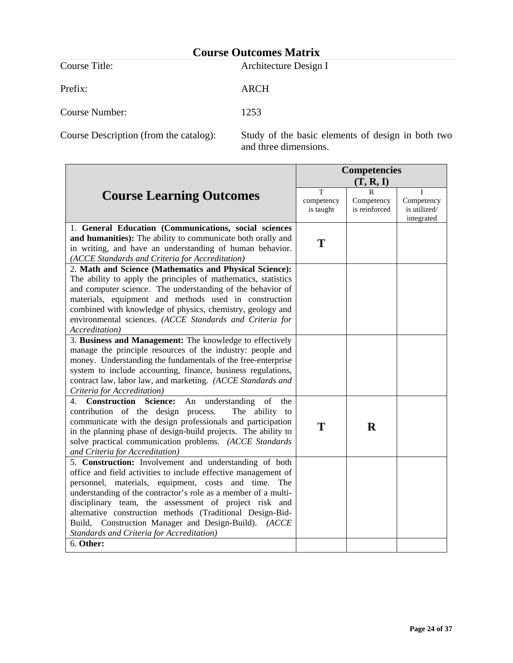Prefix: ARCH

Course Title: Architecture Design I

Course Number: 1253

Course Description (from the catalog): Study of the basic elements of design in both two and three dimensions.

|                                                                                                                                                                                                                                                                                                                                                                                                                                                                                               | <b>Competencies</b>          |                                  |                                          |
|-----------------------------------------------------------------------------------------------------------------------------------------------------------------------------------------------------------------------------------------------------------------------------------------------------------------------------------------------------------------------------------------------------------------------------------------------------------------------------------------------|------------------------------|----------------------------------|------------------------------------------|
|                                                                                                                                                                                                                                                                                                                                                                                                                                                                                               | (T, R, I)                    |                                  |                                          |
| <b>Course Learning Outcomes</b>                                                                                                                                                                                                                                                                                                                                                                                                                                                               | Т<br>competency<br>is taught | R<br>Competency<br>is reinforced | Competency<br>is utilized/<br>integrated |
| 1. General Education (Communications, social sciences<br>and humanities): The ability to communicate both orally and<br>in writing, and have an understanding of human behavior.<br>(ACCE Standards and Criteria for Accreditation)                                                                                                                                                                                                                                                           | T                            |                                  |                                          |
| 2. Math and Science (Mathematics and Physical Science):<br>The ability to apply the principles of mathematics, statistics<br>and computer science. The understanding of the behavior of<br>materials, equipment and methods used in construction<br>combined with knowledge of physics, chemistry, geology and<br>environmental sciences. (ACCE Standards and Criteria for<br>Accreditation)                                                                                                  |                              |                                  |                                          |
| 3. Business and Management: The knowledge to effectively<br>manage the principle resources of the industry: people and<br>money. Understanding the fundamentals of the free-enterprise<br>system to include accounting, finance, business regulations,<br>contract law, labor law, and marketing. (ACCE Standards and<br>Criteria for Accreditation)                                                                                                                                          |                              |                                  |                                          |
| 4. Construction<br><b>Science:</b><br>understanding<br>of<br>An<br>the<br>contribution of the design process.<br>The ability to<br>communicate with the design professionals and participation<br>in the planning phase of design-build projects. The ability to<br>solve practical communication problems. (ACCE Standards<br>and Criteria for Accreditation)                                                                                                                                | T                            | $\mathbf R$                      |                                          |
| 5. Construction: Involvement and understanding of both<br>office and field activities to include effective management of<br>personnel, materials, equipment, costs and time.<br>The<br>understanding of the contractor's role as a member of a multi-<br>disciplinary team, the assessment of project risk and<br>alternative construction methods (Traditional Design-Bid-<br>Build, Construction Manager and Design-Build). (ACCE<br>Standards and Criteria for Accreditation)<br>6. Other: |                              |                                  |                                          |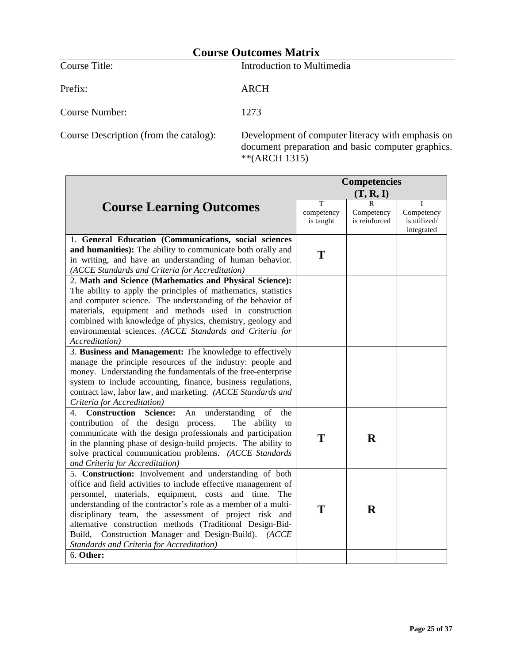**Course Title:** Introduction to Multimedia

Prefix: ARCH

Course Number: 1273

Course Description (from the catalog): Development of computer literacy with emphasis on document preparation and basic computer graphics. \*\*(ARCH 1315)

|                                                                                                                                                                                                                                                                                                                                                                                                                                                                               | <b>Competencies</b>          |                                  |                                               |
|-------------------------------------------------------------------------------------------------------------------------------------------------------------------------------------------------------------------------------------------------------------------------------------------------------------------------------------------------------------------------------------------------------------------------------------------------------------------------------|------------------------------|----------------------------------|-----------------------------------------------|
|                                                                                                                                                                                                                                                                                                                                                                                                                                                                               | (T, R, I)                    |                                  |                                               |
| <b>Course Learning Outcomes</b>                                                                                                                                                                                                                                                                                                                                                                                                                                               | T<br>competency<br>is taught | R<br>Competency<br>is reinforced | Τ<br>Competency<br>is utilized/<br>integrated |
| 1. General Education (Communications, social sciences<br>and humanities): The ability to communicate both orally and<br>in writing, and have an understanding of human behavior.<br>(ACCE Standards and Criteria for Accreditation)                                                                                                                                                                                                                                           | T                            |                                  |                                               |
| 2. Math and Science (Mathematics and Physical Science):<br>The ability to apply the principles of mathematics, statistics<br>and computer science. The understanding of the behavior of<br>materials, equipment and methods used in construction<br>combined with knowledge of physics, chemistry, geology and<br>environmental sciences. (ACCE Standards and Criteria for<br>Accreditation)                                                                                  |                              |                                  |                                               |
| 3. Business and Management: The knowledge to effectively<br>manage the principle resources of the industry: people and<br>money. Understanding the fundamentals of the free-enterprise<br>system to include accounting, finance, business regulations,<br>contract law, labor law, and marketing. (ACCE Standards and<br>Criteria for Accreditation)                                                                                                                          |                              |                                  |                                               |
| <b>Construction Science:</b><br>understanding<br>of<br>4.<br>An<br>the<br>contribution of the design process.<br>The ability to<br>communicate with the design professionals and participation<br>in the planning phase of design-build projects. The ability to<br>solve practical communication problems. (ACCE Standards<br>and Criteria for Accreditation)                                                                                                                | T                            | $\bf{R}$                         |                                               |
| 5. Construction: Involvement and understanding of both<br>office and field activities to include effective management of<br>personnel, materials, equipment, costs and time. The<br>understanding of the contractor's role as a member of a multi-<br>disciplinary team, the assessment of project risk and<br>alternative construction methods (Traditional Design-Bid-<br>Build, Construction Manager and Design-Build). (ACCE<br>Standards and Criteria for Accreditation) | T                            | $\bf R$                          |                                               |
| 6. Other:                                                                                                                                                                                                                                                                                                                                                                                                                                                                     |                              |                                  |                                               |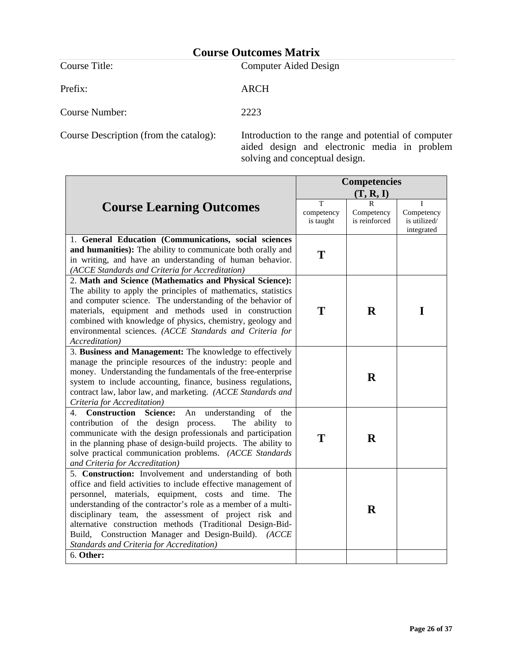Prefix: ARCH

Course Title: Computer Aided Design

Course Number: 2223

Course Description (from the catalog): Introduction to the range and potential of computer aided design and electronic media in problem solving and conceptual design.

|                              | (T, R, I)                        |                                               |
|------------------------------|----------------------------------|-----------------------------------------------|
| T<br>competency<br>is taught | R<br>Competency<br>is reinforced | T<br>Competency<br>is utilized/<br>integrated |
| T                            |                                  |                                               |
| T                            | $\mathbf R$                      | I                                             |
|                              | $\bf R$                          |                                               |
| T                            | $\bf R$                          |                                               |
|                              | $\mathbf R$                      |                                               |
|                              |                                  |                                               |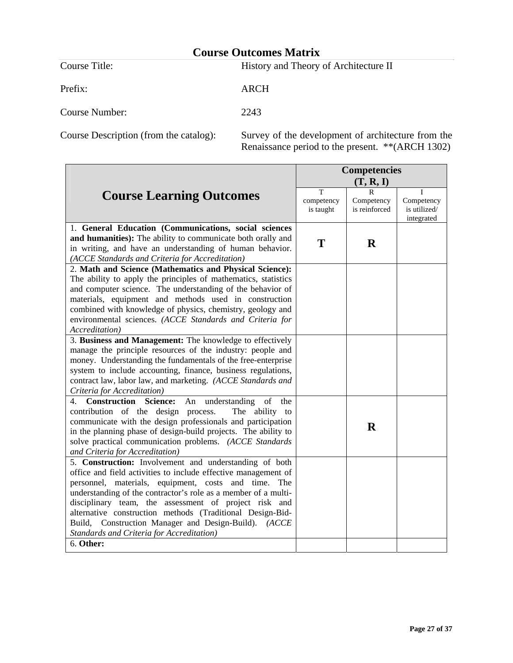Prefix: ARCH

Course Title: History and Theory of Architecture II

Course Number: 2243

Course Description (from the catalog): Survey of the development of architecture from the Renaissance period to the present. \*\*(ARCH 1302)

|                                                                                                                                                                                                                                                                                                                                                                                                                                                                                            | <b>Competencies</b>          |                                  |                                               |
|--------------------------------------------------------------------------------------------------------------------------------------------------------------------------------------------------------------------------------------------------------------------------------------------------------------------------------------------------------------------------------------------------------------------------------------------------------------------------------------------|------------------------------|----------------------------------|-----------------------------------------------|
|                                                                                                                                                                                                                                                                                                                                                                                                                                                                                            |                              | (T, R, I)                        |                                               |
| <b>Course Learning Outcomes</b>                                                                                                                                                                                                                                                                                                                                                                                                                                                            | T<br>competency<br>is taught | R<br>Competency<br>is reinforced | Τ<br>Competency<br>is utilized/<br>integrated |
| 1. General Education (Communications, social sciences<br>and humanities): The ability to communicate both orally and<br>in writing, and have an understanding of human behavior.<br>(ACCE Standards and Criteria for Accreditation)                                                                                                                                                                                                                                                        | T                            | $\bf{R}$                         |                                               |
| 2. Math and Science (Mathematics and Physical Science):<br>The ability to apply the principles of mathematics, statistics<br>and computer science. The understanding of the behavior of<br>materials, equipment and methods used in construction<br>combined with knowledge of physics, chemistry, geology and<br>environmental sciences. (ACCE Standards and Criteria for<br>Accreditation)                                                                                               |                              |                                  |                                               |
| 3. Business and Management: The knowledge to effectively<br>manage the principle resources of the industry: people and<br>money. Understanding the fundamentals of the free-enterprise<br>system to include accounting, finance, business regulations,<br>contract law, labor law, and marketing. (ACCE Standards and<br>Criteria for Accreditation)                                                                                                                                       |                              |                                  |                                               |
| 4. Construction<br>An understanding<br>of<br><b>Science:</b><br>the<br>contribution of the design process.<br>The ability to<br>communicate with the design professionals and participation<br>in the planning phase of design-build projects. The ability to<br>solve practical communication problems. (ACCE Standards<br>and Criteria for Accreditation)                                                                                                                                |                              | $\bf R$                          |                                               |
| 5. Construction: Involvement and understanding of both<br>office and field activities to include effective management of<br>personnel, materials, equipment, costs and time. The<br>understanding of the contractor's role as a member of a multi-<br>disciplinary team, the assessment of project risk and<br>alternative construction methods (Traditional Design-Bid-<br>Build, Construction Manager and Design-Build). (ACCE<br>Standards and Criteria for Accreditation)<br>6. Other: |                              |                                  |                                               |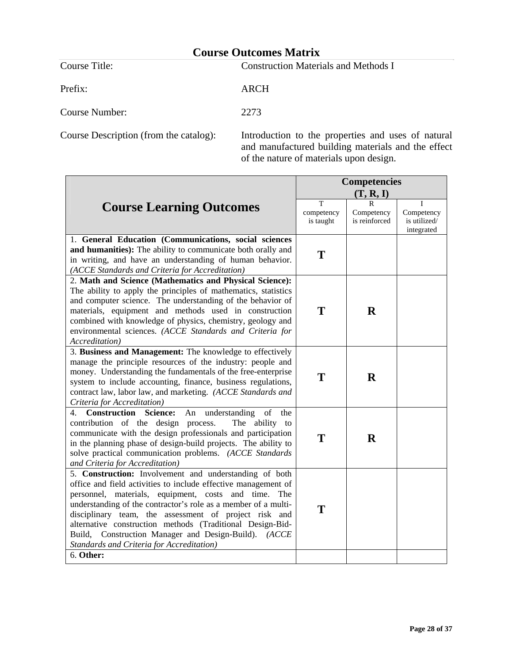Prefix: ARCH

Course Title: Construction Materials and Methods I

Course Number: 2273

Course Description (from the catalog): Introduction to the properties and uses of natural and manufactured building materials and the effect of the nature of materials upon design.

|                                                                                                                                                                                                                                                                                                                                                                                                                                                                                            | <b>Competencies</b>          |                                  |                                               |
|--------------------------------------------------------------------------------------------------------------------------------------------------------------------------------------------------------------------------------------------------------------------------------------------------------------------------------------------------------------------------------------------------------------------------------------------------------------------------------------------|------------------------------|----------------------------------|-----------------------------------------------|
|                                                                                                                                                                                                                                                                                                                                                                                                                                                                                            | (T, R, I)                    |                                  |                                               |
| <b>Course Learning Outcomes</b>                                                                                                                                                                                                                                                                                                                                                                                                                                                            | T<br>competency<br>is taught | R<br>Competency<br>is reinforced | T<br>Competency<br>is utilized/<br>integrated |
| 1. General Education (Communications, social sciences<br>and humanities): The ability to communicate both orally and<br>in writing, and have an understanding of human behavior.<br>(ACCE Standards and Criteria for Accreditation)                                                                                                                                                                                                                                                        | T                            |                                  |                                               |
| 2. Math and Science (Mathematics and Physical Science):<br>The ability to apply the principles of mathematics, statistics<br>and computer science. The understanding of the behavior of<br>materials, equipment and methods used in construction<br>combined with knowledge of physics, chemistry, geology and<br>environmental sciences. (ACCE Standards and Criteria for<br>Accreditation)                                                                                               | T                            | R                                |                                               |
| 3. Business and Management: The knowledge to effectively<br>manage the principle resources of the industry: people and<br>money. Understanding the fundamentals of the free-enterprise<br>system to include accounting, finance, business regulations,<br>contract law, labor law, and marketing. (ACCE Standards and<br>Criteria for Accreditation)                                                                                                                                       | T                            | $\bf R$                          |                                               |
| 4. Construction Science:<br>understanding<br>of<br>An<br>the<br>contribution of the design process.<br>The ability to<br>communicate with the design professionals and participation<br>in the planning phase of design-build projects. The ability to<br>solve practical communication problems. (ACCE Standards<br>and Criteria for Accreditation)                                                                                                                                       | T                            | $\bf{R}$                         |                                               |
| 5. Construction: Involvement and understanding of both<br>office and field activities to include effective management of<br>personnel, materials, equipment, costs and time. The<br>understanding of the contractor's role as a member of a multi-<br>disciplinary team, the assessment of project risk and<br>alternative construction methods (Traditional Design-Bid-<br>Build, Construction Manager and Design-Build). (ACCE<br>Standards and Criteria for Accreditation)<br>6. Other: | T                            |                                  |                                               |
|                                                                                                                                                                                                                                                                                                                                                                                                                                                                                            |                              |                                  |                                               |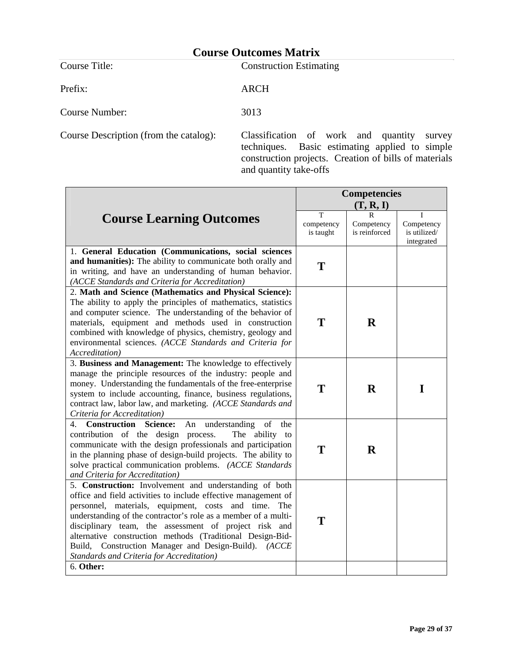Course Title: Construction Estimating

Prefix: ARCH

Course Number: 3013

Course Description (from the catalog): Classification of work and quantity survey techniques. Basic estimating applied to simple construction projects. Creation of bills of materials and quantity take-offs

|                                                                                                                                                                                                                                                                                                                                                                                                                                                                                               | <b>Competencies</b>          |                                  |                                               |
|-----------------------------------------------------------------------------------------------------------------------------------------------------------------------------------------------------------------------------------------------------------------------------------------------------------------------------------------------------------------------------------------------------------------------------------------------------------------------------------------------|------------------------------|----------------------------------|-----------------------------------------------|
|                                                                                                                                                                                                                                                                                                                                                                                                                                                                                               | (T, R, I)                    |                                  |                                               |
| <b>Course Learning Outcomes</b>                                                                                                                                                                                                                                                                                                                                                                                                                                                               | T<br>competency<br>is taught | R<br>Competency<br>is reinforced | T<br>Competency<br>is utilized/<br>integrated |
| 1. General Education (Communications, social sciences<br>and humanities): The ability to communicate both orally and<br>in writing, and have an understanding of human behavior.<br>(ACCE Standards and Criteria for Accreditation)                                                                                                                                                                                                                                                           | T                            |                                  |                                               |
| 2. Math and Science (Mathematics and Physical Science):<br>The ability to apply the principles of mathematics, statistics<br>and computer science. The understanding of the behavior of<br>materials, equipment and methods used in construction<br>combined with knowledge of physics, chemistry, geology and<br>environmental sciences. (ACCE Standards and Criteria for<br>Accreditation)                                                                                                  | T                            | $\mathbf R$                      |                                               |
| 3. Business and Management: The knowledge to effectively<br>manage the principle resources of the industry: people and<br>money. Understanding the fundamentals of the free-enterprise<br>system to include accounting, finance, business regulations,<br>contract law, labor law, and marketing. (ACCE Standards and<br>Criteria for Accreditation)                                                                                                                                          | T                            | $\bf{R}$                         | I                                             |
| 4. Construction Science:<br>understanding<br>An<br>of<br>the<br>contribution of the design process.<br>The ability to<br>communicate with the design professionals and participation<br>in the planning phase of design-build projects. The ability to<br>solve practical communication problems. (ACCE Standards<br>and Criteria for Accreditation)                                                                                                                                          | T                            | $\mathbf R$                      |                                               |
| 5. Construction: Involvement and understanding of both<br>office and field activities to include effective management of<br>personnel, materials, equipment, costs and time.<br>The<br>understanding of the contractor's role as a member of a multi-<br>disciplinary team, the assessment of project risk and<br>alternative construction methods (Traditional Design-Bid-<br>Build, Construction Manager and Design-Build). (ACCE<br>Standards and Criteria for Accreditation)<br>6. Other: | T                            |                                  |                                               |
|                                                                                                                                                                                                                                                                                                                                                                                                                                                                                               |                              |                                  |                                               |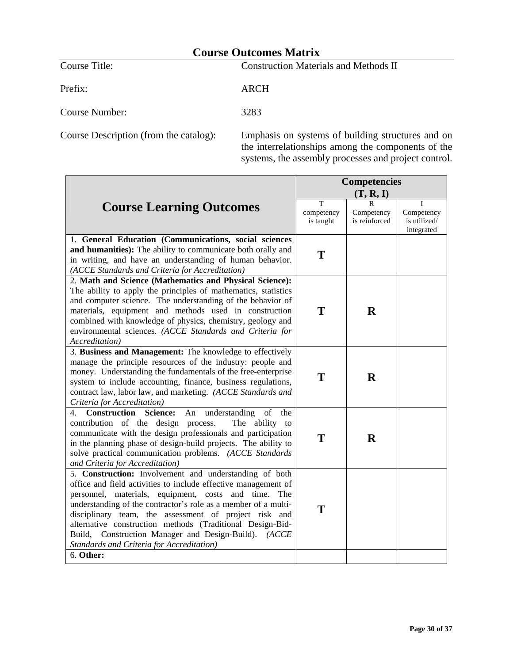Prefix: ARCH

Course Title: Construction Materials and Methods II

Course Number: 3283

Course Description (from the catalog): Emphasis on systems of building structures and on the interrelationships among the components of the systems, the assembly processes and project control.

|                                                                                                                                                                                                                                                                                                                                                                                                                                                                                            | <b>Competencies</b>          |                                  |                                               |
|--------------------------------------------------------------------------------------------------------------------------------------------------------------------------------------------------------------------------------------------------------------------------------------------------------------------------------------------------------------------------------------------------------------------------------------------------------------------------------------------|------------------------------|----------------------------------|-----------------------------------------------|
|                                                                                                                                                                                                                                                                                                                                                                                                                                                                                            |                              | (T, R, I)                        |                                               |
| <b>Course Learning Outcomes</b>                                                                                                                                                                                                                                                                                                                                                                                                                                                            | T<br>competency<br>is taught | R<br>Competency<br>is reinforced | T<br>Competency<br>is utilized/<br>integrated |
| 1. General Education (Communications, social sciences<br>and humanities): The ability to communicate both orally and<br>in writing, and have an understanding of human behavior.<br>(ACCE Standards and Criteria for Accreditation)                                                                                                                                                                                                                                                        | T                            |                                  |                                               |
| 2. Math and Science (Mathematics and Physical Science):<br>The ability to apply the principles of mathematics, statistics<br>and computer science. The understanding of the behavior of<br>materials, equipment and methods used in construction<br>combined with knowledge of physics, chemistry, geology and<br>environmental sciences. (ACCE Standards and Criteria for<br>Accreditation)                                                                                               | T                            | $\mathbf R$                      |                                               |
| 3. Business and Management: The knowledge to effectively<br>manage the principle resources of the industry: people and<br>money. Understanding the fundamentals of the free-enterprise<br>system to include accounting, finance, business regulations,<br>contract law, labor law, and marketing. (ACCE Standards and<br>Criteria for Accreditation)                                                                                                                                       | T                            | $\bf R$                          |                                               |
| <b>Construction Science:</b><br>understanding<br>of<br>4.<br>An<br>the<br>contribution of the design process.<br>The ability to<br>communicate with the design professionals and participation<br>in the planning phase of design-build projects. The ability to<br>solve practical communication problems. (ACCE Standards<br>and Criteria for Accreditation)                                                                                                                             | T                            | R                                |                                               |
| 5. Construction: Involvement and understanding of both<br>office and field activities to include effective management of<br>personnel, materials, equipment, costs and time. The<br>understanding of the contractor's role as a member of a multi-<br>disciplinary team, the assessment of project risk and<br>alternative construction methods (Traditional Design-Bid-<br>Build, Construction Manager and Design-Build). (ACCE<br>Standards and Criteria for Accreditation)<br>6. Other: | T                            |                                  |                                               |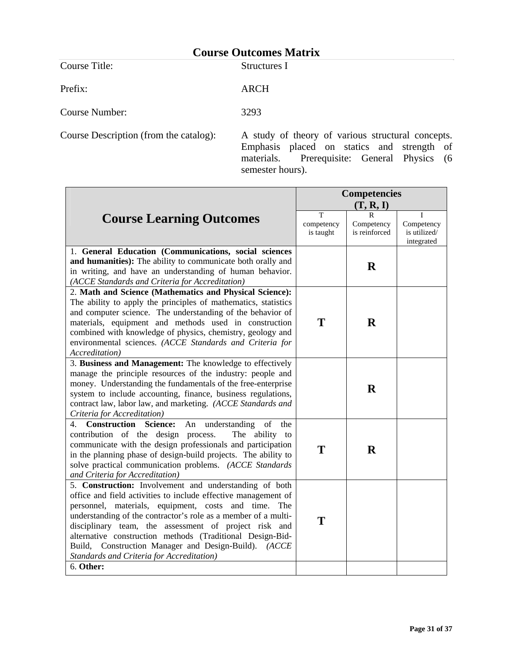Course Title: Structures I

Prefix: ARCH

Course Number: 3293

Course Description (from the catalog): A study of theory of various structural concepts. Emphasis placed on statics and strength of materials. Prerequisite: General Physics (6 semester hours).

|                                                                                                                                                                                                                                                                                                                                                                                                                                                                                            | <b>Competencies</b>          |                                  |                                          |
|--------------------------------------------------------------------------------------------------------------------------------------------------------------------------------------------------------------------------------------------------------------------------------------------------------------------------------------------------------------------------------------------------------------------------------------------------------------------------------------------|------------------------------|----------------------------------|------------------------------------------|
|                                                                                                                                                                                                                                                                                                                                                                                                                                                                                            | (T, R, I)                    |                                  |                                          |
| <b>Course Learning Outcomes</b>                                                                                                                                                                                                                                                                                                                                                                                                                                                            | T<br>competency<br>is taught | R<br>Competency<br>is reinforced | Competency<br>is utilized/<br>integrated |
| 1. General Education (Communications, social sciences<br>and humanities): The ability to communicate both orally and<br>in writing, and have an understanding of human behavior.<br>(ACCE Standards and Criteria for Accreditation)                                                                                                                                                                                                                                                        |                              | $\mathbf R$                      |                                          |
| 2. Math and Science (Mathematics and Physical Science):<br>The ability to apply the principles of mathematics, statistics<br>and computer science. The understanding of the behavior of<br>materials, equipment and methods used in construction<br>combined with knowledge of physics, chemistry, geology and<br>environmental sciences. (ACCE Standards and Criteria for<br><i>Accreditation</i> )                                                                                       | T                            | $\mathbf R$                      |                                          |
| 3. Business and Management: The knowledge to effectively<br>manage the principle resources of the industry: people and<br>money. Understanding the fundamentals of the free-enterprise<br>system to include accounting, finance, business regulations,<br>contract law, labor law, and marketing. (ACCE Standards and<br>Criteria for Accreditation)                                                                                                                                       |                              | $\mathbf R$                      |                                          |
| <b>Construction Science:</b><br>understanding<br>4.<br>An<br>of<br>the<br>contribution of the design process.<br>The ability to<br>communicate with the design professionals and participation<br>in the planning phase of design-build projects. The ability to<br>solve practical communication problems. (ACCE Standards<br>and Criteria for Accreditation)                                                                                                                             | T                            | R                                |                                          |
| 5. Construction: Involvement and understanding of both<br>office and field activities to include effective management of<br>personnel, materials, equipment, costs and time. The<br>understanding of the contractor's role as a member of a multi-<br>disciplinary team, the assessment of project risk and<br>alternative construction methods (Traditional Design-Bid-<br>Build, Construction Manager and Design-Build). (ACCE<br>Standards and Criteria for Accreditation)<br>6. Other: | T                            |                                  |                                          |
|                                                                                                                                                                                                                                                                                                                                                                                                                                                                                            |                              |                                  |                                          |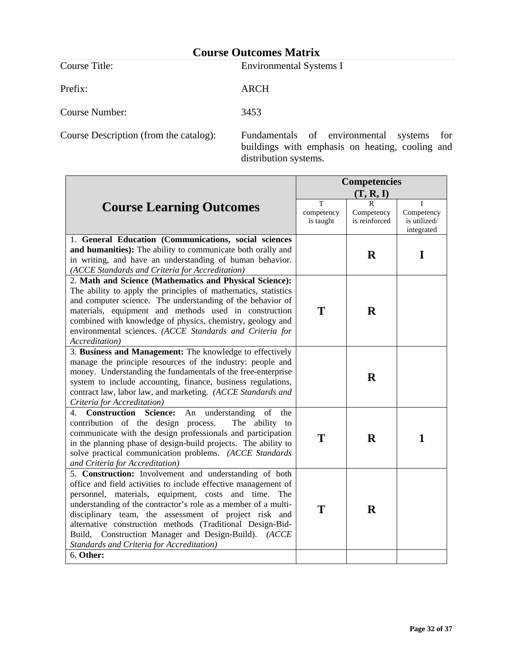Course Title: Environmental Systems I

Prefix: ARCH

Course Number: 3453

Course Description (from the catalog): Fundamentals of environmental systems for buildings with emphasis on heating, cooling and distribution systems.

|                                                                                                                                                                                                                                                                                                                                                                                                                                                                               | <b>Competencies</b>          |                                  |                                               |
|-------------------------------------------------------------------------------------------------------------------------------------------------------------------------------------------------------------------------------------------------------------------------------------------------------------------------------------------------------------------------------------------------------------------------------------------------------------------------------|------------------------------|----------------------------------|-----------------------------------------------|
|                                                                                                                                                                                                                                                                                                                                                                                                                                                                               | (T, R, I)                    |                                  |                                               |
| <b>Course Learning Outcomes</b>                                                                                                                                                                                                                                                                                                                                                                                                                                               | T<br>competency<br>is taught | R<br>Competency<br>is reinforced | T<br>Competency<br>is utilized/<br>integrated |
| 1. General Education (Communications, social sciences<br>and humanities): The ability to communicate both orally and<br>in writing, and have an understanding of human behavior.<br>(ACCE Standards and Criteria for Accreditation)                                                                                                                                                                                                                                           |                              | $\bf{R}$                         | I                                             |
| 2. Math and Science (Mathematics and Physical Science):<br>The ability to apply the principles of mathematics, statistics<br>and computer science. The understanding of the behavior of<br>materials, equipment and methods used in construction<br>combined with knowledge of physics, chemistry, geology and<br>environmental sciences. (ACCE Standards and Criteria for<br><i>Accreditation</i> )                                                                          | T                            | $\mathbf R$                      |                                               |
| 3. Business and Management: The knowledge to effectively<br>manage the principle resources of the industry: people and<br>money. Understanding the fundamentals of the free-enterprise<br>system to include accounting, finance, business regulations,<br>contract law, labor law, and marketing. (ACCE Standards and<br>Criteria for Accreditation)                                                                                                                          |                              | $\mathbf R$                      |                                               |
| <b>Construction Science:</b><br>understanding<br>of<br>4.<br>An<br>the<br>contribution of the design process.<br>The ability to<br>communicate with the design professionals and participation<br>in the planning phase of design-build projects. The ability to<br>solve practical communication problems. (ACCE Standards<br>and Criteria for Accreditation)                                                                                                                | T                            | $\bf{R}$                         | 1                                             |
| 5. Construction: Involvement and understanding of both<br>office and field activities to include effective management of<br>personnel, materials, equipment, costs and time. The<br>understanding of the contractor's role as a member of a multi-<br>disciplinary team, the assessment of project risk and<br>alternative construction methods (Traditional Design-Bid-<br>Build, Construction Manager and Design-Build). (ACCE<br>Standards and Criteria for Accreditation) | T                            | $\mathbf R$                      |                                               |
| 6. Other:                                                                                                                                                                                                                                                                                                                                                                                                                                                                     |                              |                                  |                                               |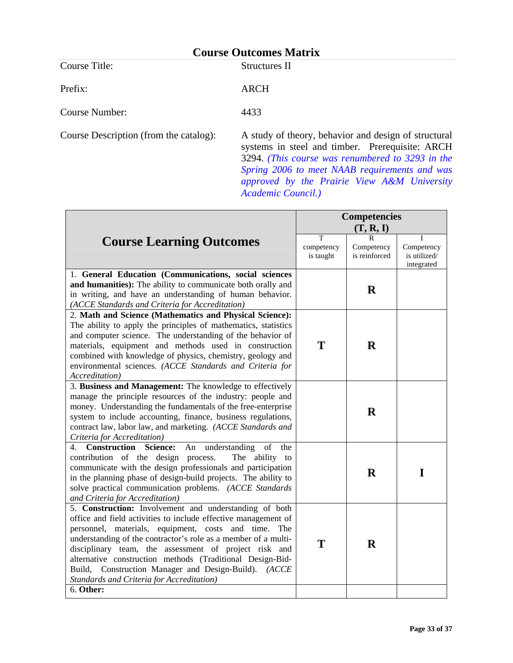Course Title: Structures II

Prefix: ARCH

Course Number: 4433

Course Description (from the catalog): A study of theory, behavior and design of structural systems in steel and timber. Prerequisite: ARCH 3294. *(This course was renumbered to 3293 in the Spring 2006 to meet NAAB requirements and was approved by the Prairie View A&M University Academic Council.)*

|                                                                                                                                                                                                                                                                                                                                                                                                                                                                                  | <b>Competencies</b>          |                                  |                                               |
|----------------------------------------------------------------------------------------------------------------------------------------------------------------------------------------------------------------------------------------------------------------------------------------------------------------------------------------------------------------------------------------------------------------------------------------------------------------------------------|------------------------------|----------------------------------|-----------------------------------------------|
|                                                                                                                                                                                                                                                                                                                                                                                                                                                                                  | (T, R, I)                    |                                  |                                               |
| <b>Course Learning Outcomes</b>                                                                                                                                                                                                                                                                                                                                                                                                                                                  | T<br>competency<br>is taught | R<br>Competency<br>is reinforced | I<br>Competency<br>is utilized/<br>integrated |
| 1. General Education (Communications, social sciences<br>and humanities): The ability to communicate both orally and<br>in writing, and have an understanding of human behavior.<br>(ACCE Standards and Criteria for Accreditation)                                                                                                                                                                                                                                              |                              | $\mathbf R$                      |                                               |
| 2. Math and Science (Mathematics and Physical Science):<br>The ability to apply the principles of mathematics, statistics<br>and computer science. The understanding of the behavior of<br>materials, equipment and methods used in construction<br>combined with knowledge of physics, chemistry, geology and<br>environmental sciences. (ACCE Standards and Criteria for<br>Accreditation)                                                                                     | T                            | $\bf{R}$                         |                                               |
| 3. Business and Management: The knowledge to effectively<br>manage the principle resources of the industry: people and<br>money. Understanding the fundamentals of the free-enterprise<br>system to include accounting, finance, business regulations,<br>contract law, labor law, and marketing. (ACCE Standards and<br>Criteria for Accreditation)                                                                                                                             |                              | $\bf{R}$                         |                                               |
| <b>Construction Science:</b><br>understanding<br>of<br>4.<br>An<br>the<br>contribution of the design process.<br>The ability to<br>communicate with the design professionals and participation<br>in the planning phase of design-build projects. The ability to<br>solve practical communication problems. (ACCE Standards<br>and Criteria for Accreditation)                                                                                                                   |                              | $\bf{R}$                         | I                                             |
| 5. Construction: Involvement and understanding of both<br>office and field activities to include effective management of<br>personnel, materials, equipment, costs and time.<br>The<br>understanding of the contractor's role as a member of a multi-<br>disciplinary team, the assessment of project risk and<br>alternative construction methods (Traditional Design-Bid-<br>Build, Construction Manager and Design-Build). (ACCE<br>Standards and Criteria for Accreditation) | T                            | $\mathbf R$                      |                                               |
| 6. Other:                                                                                                                                                                                                                                                                                                                                                                                                                                                                        |                              |                                  |                                               |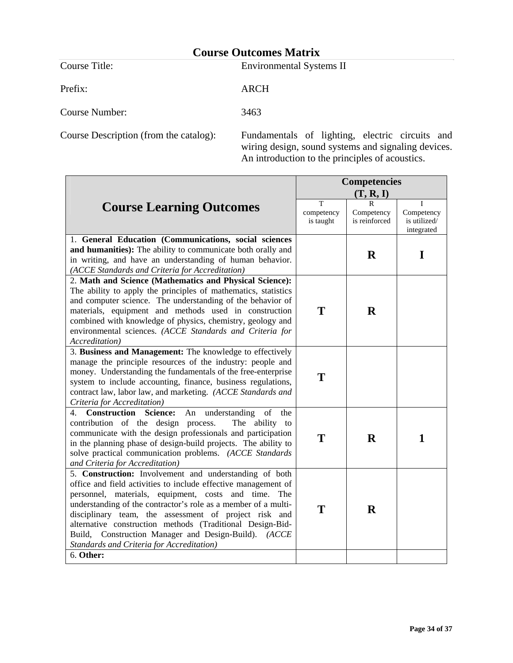Course Title: Environmental Systems II

Prefix: ARCH

Course Number: 3463

Course Description (from the catalog): Fundamentals of lighting, electric circuits and wiring design, sound systems and signaling devices. An introduction to the principles of acoustics.

|                                                                                                                                                                                                                                                                                                                                                                                                                                                                                            | <b>Competencies</b>          |                                  |                                               |  |  |
|--------------------------------------------------------------------------------------------------------------------------------------------------------------------------------------------------------------------------------------------------------------------------------------------------------------------------------------------------------------------------------------------------------------------------------------------------------------------------------------------|------------------------------|----------------------------------|-----------------------------------------------|--|--|
|                                                                                                                                                                                                                                                                                                                                                                                                                                                                                            | (T, R, I)                    |                                  |                                               |  |  |
| <b>Course Learning Outcomes</b>                                                                                                                                                                                                                                                                                                                                                                                                                                                            | T<br>competency<br>is taught | R<br>Competency<br>is reinforced | T<br>Competency<br>is utilized/<br>integrated |  |  |
| 1. General Education (Communications, social sciences<br>and humanities): The ability to communicate both orally and<br>in writing, and have an understanding of human behavior.<br>(ACCE Standards and Criteria for Accreditation)                                                                                                                                                                                                                                                        |                              | $\mathbf R$                      | I                                             |  |  |
| 2. Math and Science (Mathematics and Physical Science):<br>The ability to apply the principles of mathematics, statistics<br>and computer science. The understanding of the behavior of<br>materials, equipment and methods used in construction<br>combined with knowledge of physics, chemistry, geology and<br>environmental sciences. (ACCE Standards and Criteria for<br>Accreditation)                                                                                               | T                            | $\mathbf R$                      |                                               |  |  |
| 3. Business and Management: The knowledge to effectively<br>manage the principle resources of the industry: people and<br>money. Understanding the fundamentals of the free-enterprise<br>system to include accounting, finance, business regulations,<br>contract law, labor law, and marketing. (ACCE Standards and<br>Criteria for Accreditation)                                                                                                                                       | T                            |                                  |                                               |  |  |
| <b>Construction Science:</b><br>understanding<br>of<br>4.<br>An<br>the<br>contribution of the design process.<br>The ability to<br>communicate with the design professionals and participation<br>in the planning phase of design-build projects. The ability to<br>solve practical communication problems. (ACCE Standards<br>and Criteria for Accreditation)                                                                                                                             | T                            | R                                | $\mathbf{1}$                                  |  |  |
| 5. Construction: Involvement and understanding of both<br>office and field activities to include effective management of<br>personnel, materials, equipment, costs and time. The<br>understanding of the contractor's role as a member of a multi-<br>disciplinary team, the assessment of project risk and<br>alternative construction methods (Traditional Design-Bid-<br>Build, Construction Manager and Design-Build). (ACCE<br>Standards and Criteria for Accreditation)<br>6. Other: | T                            | $\mathbf R$                      |                                               |  |  |
|                                                                                                                                                                                                                                                                                                                                                                                                                                                                                            |                              |                                  |                                               |  |  |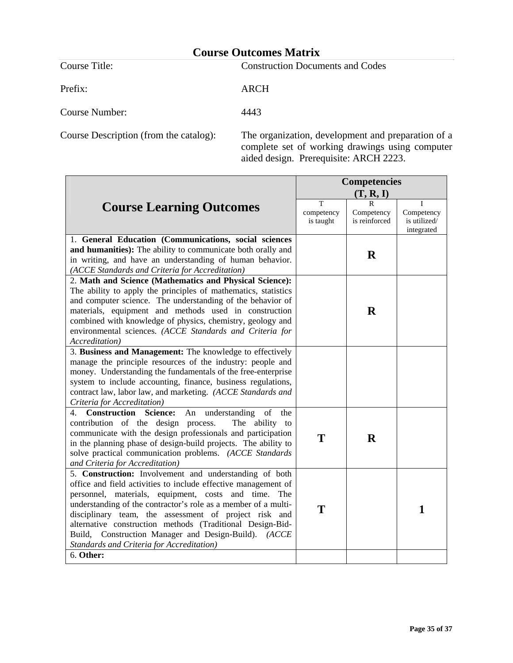Prefix: ARCH

Course Title: Construction Documents and Codes

Course Number: 4443

Course Description (from the catalog): The organization, development and preparation of a complete set of working drawings using computer aided design. Prerequisite: ARCH 2223.

|                                                                                                                                                                                                                                                                                                                                                                                                                                                                               | <b>Competencies</b>          |                                  |                                               |  |  |
|-------------------------------------------------------------------------------------------------------------------------------------------------------------------------------------------------------------------------------------------------------------------------------------------------------------------------------------------------------------------------------------------------------------------------------------------------------------------------------|------------------------------|----------------------------------|-----------------------------------------------|--|--|
|                                                                                                                                                                                                                                                                                                                                                                                                                                                                               | (T, R, I)                    |                                  |                                               |  |  |
| <b>Course Learning Outcomes</b>                                                                                                                                                                                                                                                                                                                                                                                                                                               | T<br>competency<br>is taught | R<br>Competency<br>is reinforced | T<br>Competency<br>is utilized/<br>integrated |  |  |
| 1. General Education (Communications, social sciences<br>and humanities): The ability to communicate both orally and<br>in writing, and have an understanding of human behavior.<br>(ACCE Standards and Criteria for Accreditation)                                                                                                                                                                                                                                           |                              | $\mathbf R$                      |                                               |  |  |
| 2. Math and Science (Mathematics and Physical Science):<br>The ability to apply the principles of mathematics, statistics<br>and computer science. The understanding of the behavior of<br>materials, equipment and methods used in construction<br>combined with knowledge of physics, chemistry, geology and<br>environmental sciences. (ACCE Standards and Criteria for<br>Accreditation)                                                                                  |                              | $\mathbf R$                      |                                               |  |  |
| 3. Business and Management: The knowledge to effectively<br>manage the principle resources of the industry: people and<br>money. Understanding the fundamentals of the free-enterprise<br>system to include accounting, finance, business regulations,<br>contract law, labor law, and marketing. (ACCE Standards and<br>Criteria for Accreditation)                                                                                                                          |                              |                                  |                                               |  |  |
| <b>Construction Science:</b><br>understanding<br>4.<br>An<br>of<br>the<br>contribution of the design process.<br>The ability to<br>communicate with the design professionals and participation<br>in the planning phase of design-build projects. The ability to<br>solve practical communication problems. (ACCE Standards<br>and Criteria for Accreditation)                                                                                                                | T                            | R                                |                                               |  |  |
| 5. Construction: Involvement and understanding of both<br>office and field activities to include effective management of<br>personnel, materials, equipment, costs and time. The<br>understanding of the contractor's role as a member of a multi-<br>disciplinary team, the assessment of project risk and<br>alternative construction methods (Traditional Design-Bid-<br>Build, Construction Manager and Design-Build). (ACCE<br>Standards and Criteria for Accreditation) | T                            |                                  | 1                                             |  |  |
| 6. Other:                                                                                                                                                                                                                                                                                                                                                                                                                                                                     |                              |                                  |                                               |  |  |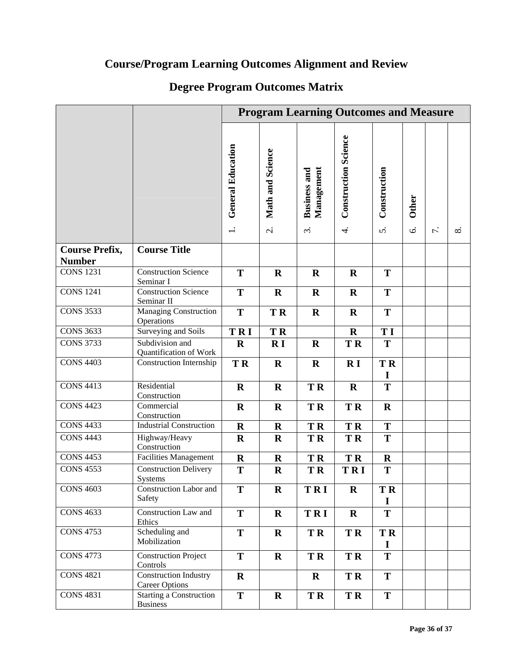# **Course/Program Learning Outcomes Alignment and Review**

# **Degree Program Outcomes Matrix**

|                                   |                                                   | <b>Program Learning Outcomes and Measure</b> |                          |                                   |                             |                |               |                  |    |
|-----------------------------------|---------------------------------------------------|----------------------------------------------|--------------------------|-----------------------------------|-----------------------------|----------------|---------------|------------------|----|
|                                   |                                                   | <b>General Education</b>                     | Math and Science         | Management<br><b>Business and</b> | <b>Construction Science</b> | Construction   | <b>Other</b>  |                  |    |
|                                   |                                                   |                                              | $\overline{\mathcal{N}}$ | $\ddot{\rm c}$                    | $\div$                      | 5.             | $\dot{\circ}$ | $\overline{r}$ . | ∞ं |
| <b>Course Prefix,</b>             | <b>Course Title</b>                               |                                              |                          |                                   |                             |                |               |                  |    |
| <b>Number</b><br><b>CONS 1231</b> | <b>Construction Science</b><br>Seminar I          | T                                            | $\mathbf R$              | $\mathbf R$                       | $\mathbf R$                 | T              |               |                  |    |
| <b>CONS 1241</b>                  | <b>Construction Science</b><br>Seminar II         | T                                            | $\mathbf R$              | $\mathbf R$                       | $\mathbf R$                 | T              |               |                  |    |
| $CONS$ 3533                       | Managing Construction<br>Operations               | T                                            | <b>TR</b>                | $\mathbf R$                       | $\mathbf R$                 | T              |               |                  |    |
| <b>CONS 3633</b>                  | Surveying and Soils                               | TRI                                          | <b>TR</b>                |                                   | $\bf R$                     | T I            |               |                  |    |
| <b>CONS 3733</b>                  | Subdivision and<br>Quantification of Work         | $\mathbf R$                                  | R I                      | $\mathbf R$                       | <b>TR</b>                   | T              |               |                  |    |
| <b>CONS 4403</b>                  | Construction Internship                           | <b>TR</b>                                    | $\mathbf R$              | $\mathbf R$                       | R <sub>I</sub>              | <b>TR</b><br>I |               |                  |    |
| <b>CONS 4413</b>                  | Residential<br>Construction                       | $\mathbf R$                                  | $\mathbf R$              | <b>TR</b>                         | $\bf R$                     | T              |               |                  |    |
| <b>CONS 4423</b>                  | Commercial<br>Construction                        | $\mathbf R$                                  | $\mathbf R$              | <b>TR</b>                         | <b>TR</b>                   | $\mathbf R$    |               |                  |    |
| <b>CONS 4433</b>                  | <b>Industrial Construction</b>                    | $\mathbf R$                                  | $\mathbf R$              | <b>TR</b>                         | <b>TR</b>                   | T              |               |                  |    |
| <b>CONS 4443</b>                  | Highway/Heavy<br>Construction                     | $\mathbf R$                                  | $\mathbf R$              | <b>TR</b>                         | <b>TR</b>                   | T              |               |                  |    |
| <b>CONS 4453</b>                  | <b>Facilities Management</b>                      | $\mathbf R$                                  | $\mathbf R$              | <b>TR</b>                         | <b>TR</b>                   | $\mathbf R$    |               |                  |    |
| <b>CONS 4553</b>                  | <b>Construction Delivery</b><br><b>Systems</b>    | T                                            | $\mathbf R$              | TR                                | <b>TRI</b>                  | T              |               |                  |    |
| <b>CONS 4603</b>                  | Construction Labor and<br>Safety                  | T                                            | $\mathbf R$              | TRI                               | $\mathbf R$                 | <b>TR</b><br>I |               |                  |    |
| <b>CONS 4633</b>                  | Construction Law and<br>Ethics                    | T                                            | $\mathbf R$              | TRI                               | $\mathbf R$                 | T              |               |                  |    |
| <b>CONS 4753</b>                  | Scheduling and<br>Mobilization                    | T                                            | $\mathbf R$              | <b>TR</b>                         | <b>TR</b>                   | <b>TR</b><br>I |               |                  |    |
| <b>CONS 4773</b>                  | <b>Construction Project</b><br>Controls           | T                                            | $\mathbf R$              | <b>TR</b>                         | <b>TR</b>                   | T              |               |                  |    |
| <b>CONS 4821</b>                  | Construction Industry<br><b>Career Options</b>    | $\mathbf R$                                  |                          | $\mathbf R$                       | TR <sub></sub>              | T              |               |                  |    |
| <b>CONS 4831</b>                  | <b>Starting a Construction</b><br><b>Business</b> | T                                            | $\mathbf R$              | TR <sub></sub>                    | <b>TR</b>                   | T              |               |                  |    |